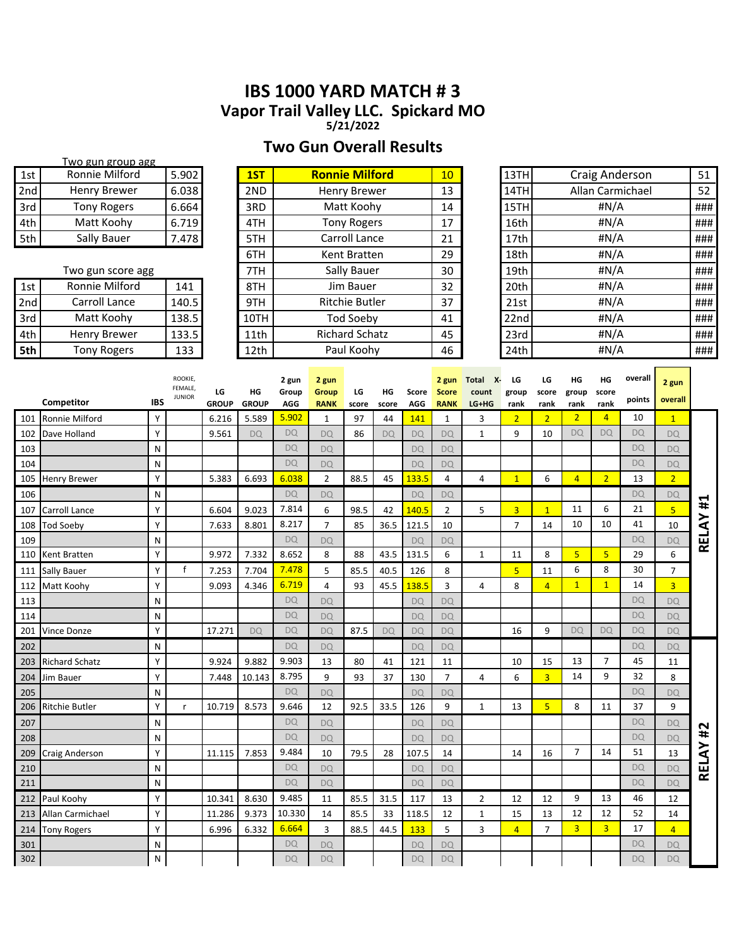# **IBS 1000 YARD MATCH # 3 Vapor Trail Valley LLC. Spickard MO**

**5/21/2022**

# **Two Gun Overall Results**

|     | Two gun group agg   |       |      |                       |                 |                  |                  |     |
|-----|---------------------|-------|------|-----------------------|-----------------|------------------|------------------|-----|
| 1st | Ronnie Milford      | 5.902 | 1ST  | <b>Ronnie Milford</b> | 10 <sup>°</sup> | 13TH             | Craig Anderson   | 51  |
| 2nd | Henry Brewer        | 6.038 | 2ND  | <b>Henry Brewer</b>   | 13              | 14TH             | Allan Carmichael | 52  |
| 3rd | <b>Tony Rogers</b>  | 6.664 | 3RD  | Matt Koohy            | 14              | 15TH             | #N/A             | ### |
| 4th | Matt Koohy          | 6.719 | 4TH  | <b>Tony Rogers</b>    | 17              | 16 <sub>th</sub> | #N/A             | ### |
| 5th | Sally Bauer         | 7.478 | 5TH  | Carroll Lance         | 21              | 17th             | #N/A             | ### |
|     |                     |       | 6TH  | Kent Bratten          | 29              | 18 <sub>th</sub> | #N/A             | ### |
|     | Two gun score agg   |       | 7TH  | Sally Bauer           | 30              | 19 <sub>th</sub> | #N/A             | ### |
| 1st | Ronnie Milford      | 141   | 8TH  | Jim Bauer             | 32              | 20th             | #N/A             | ### |
| 2nd | Carroll Lance       | 140.5 | 9TH  | <b>Ritchie Butler</b> | 37              | 21st             | #N/A             | ### |
| 3rd | Matt Koohy          | 138.5 | 10TH | <b>Tod Soeby</b>      | 41              | 22nd             | #N/A             | ### |
| 4th | <b>Henry Brewer</b> | 133.5 | 11th | <b>Richard Schatz</b> | 45              | 23rd             | #N/A             | ### |
| 5th | <b>Tony Rogers</b>  | 133   | 12th | Paul Koohy            | 46              | 24th             | #N/A             | ### |
|     |                     |       |      |                       |                 |                  |                  |     |

|     | Competitor            | <b>IBS</b> | ROOKIE,<br>FEMALE,<br><b>JUNIOR</b> | LG<br><b>GROUP</b> | HG<br><b>GROUP</b> | 2 gun<br>Group<br><b>AGG</b> | 2 gun<br>Group<br><b>RANK</b> | LG<br>score | HG<br>score | Score<br><b>AGG</b> | 2 gun<br><b>Score</b><br><b>RANK</b> | Total X-<br>count<br>LG+HG | LG<br>group<br>rank | LG<br>score<br>rank | ΗG<br>group<br>rank | ΗG<br>score<br>rank | overall<br>points | 2 gun<br>overall |       |
|-----|-----------------------|------------|-------------------------------------|--------------------|--------------------|------------------------------|-------------------------------|-------------|-------------|---------------------|--------------------------------------|----------------------------|---------------------|---------------------|---------------------|---------------------|-------------------|------------------|-------|
| 101 | <b>Ronnie Milford</b> | Y          |                                     | 6.216              | 5.589              | 5.902                        | 1                             | 97          | 44          | 141                 | 1                                    | 3                          | $\overline{2}$      | $\overline{2}$      | $\overline{2}$      | $\overline{4}$      | 10                | $\mathbf{1}$     |       |
| 102 | Dave Holland          | Y          |                                     | 9.561              | <b>DQ</b>          | <b>DQ</b>                    | <b>DQ</b>                     | 86          | <b>DQ</b>   | <b>DQ</b>           | <b>DQ</b>                            | $\mathbf{1}$               | 9                   | 10                  | <b>DQ</b>           | <b>DO</b>           | <b>DQ</b>         | <b>DQ</b>        |       |
| 103 |                       | N          |                                     |                    |                    | <b>DQ</b>                    | DO                            |             |             | <b>DQ</b>           | <b>DQ</b>                            |                            |                     |                     |                     |                     | <b>DQ</b>         | <b>DQ</b>        |       |
| 104 |                       | N          |                                     |                    |                    | <b>DQ</b>                    | <b>DQ</b>                     |             |             | <b>DQ</b>           | <b>DQ</b>                            |                            |                     |                     |                     |                     | <b>DQ</b>         | DQ               |       |
| 105 | <b>Henry Brewer</b>   | Υ          |                                     | 5.383              | 6.693              | 6.038                        | $\overline{2}$                | 88.5        | 45          | 133.5               | 4                                    | 4                          | $\mathbf{1}$        | 6                   | $\overline{4}$      | $\overline{2}$      | 13                | $\overline{2}$   |       |
| 106 |                       | N          |                                     |                    |                    | <b>DQ</b>                    | <b>DQ</b>                     |             |             | <b>DQ</b>           | <b>DQ</b>                            |                            |                     |                     |                     |                     | <b>DQ</b>         | <b>DQ</b>        |       |
| 107 | Carroll Lance         | Υ          |                                     | 6.604              | 9.023              | 7.814                        | 6                             | 98.5        | 42          | 140.5               | $\overline{2}$                       | 5                          | $\overline{3}$      | $\mathbf{1}$        | 11                  | 6                   | 21                | $\overline{5}$   | #1    |
| 108 | Tod Soebv             | Y          |                                     | 7.633              | 8.801              | 8.217                        | $\overline{7}$                | 85          | 36.5        | 121.5               | 10                                   |                            | $\overline{7}$      | 14                  | 10                  | 10                  | 41                | 10               | RELAY |
| 109 |                       | N          |                                     |                    |                    | <b>DQ</b>                    | <b>DQ</b>                     |             |             | <b>DQ</b>           | <b>DQ</b>                            |                            |                     |                     |                     |                     | <b>DQ</b>         | DQ               |       |
| 110 | Kent Bratten          | Y          |                                     | 9.972              | 7.332              | 8.652                        | 8                             | 88          | 43.5        | 131.5               | 6                                    | $\mathbf{1}$               | 11                  | 8                   | 5 <sup>1</sup>      | 5 <sup>2</sup>      | 29                | 6                |       |
| 111 | <b>Sally Bauer</b>    | Y          | $\mathsf{f}$                        | 7.253              | 7.704              | 7.478                        | 5                             | 85.5        | 40.5        | 126                 | 8                                    |                            | 5                   | 11                  | 6                   | 8                   | 30                | $\overline{7}$   |       |
| 112 | Matt Koohy            | Υ          |                                     | 9.093              | 4.346              | 6.719                        | 4                             | 93          | 45.5        | 138.5               | 3                                    | 4                          | 8                   | $\overline{4}$      | 1                   | $\mathbf{1}$        | 14                | $\overline{3}$   |       |
| 113 |                       | N          |                                     |                    |                    | <b>DQ</b>                    | <b>DQ</b>                     |             |             | <b>DQ</b>           | <b>DQ</b>                            |                            |                     |                     |                     |                     | <b>DQ</b>         | <b>DQ</b>        |       |
| 114 |                       | N          |                                     |                    |                    | <b>DQ</b>                    | <b>DQ</b>                     |             |             | <b>DQ</b>           | <b>DQ</b>                            |                            |                     |                     |                     |                     | <b>DQ</b>         | <b>DQ</b>        |       |
| 201 | <b>Vince Donze</b>    | Υ          |                                     | 17.271             | <b>DQ</b>          | <b>DQ</b>                    | <b>DQ</b>                     | 87.5        | <b>DQ</b>   | <b>DQ</b>           | <b>DQ</b>                            |                            | 16                  | 9                   | <b>DQ</b>           | <b>DQ</b>           | <b>DQ</b>         | <b>DQ</b>        |       |
| 202 |                       | N          |                                     |                    |                    | DO                           | <b>DQ</b>                     |             |             | <b>DQ</b>           | <b>DQ</b>                            |                            |                     |                     |                     |                     | <b>DQ</b>         | <b>DQ</b>        |       |
| 203 | <b>Richard Schatz</b> | Y          |                                     | 9.924              | 9.882              | 9.903                        | 13                            | 80          | 41          | 121                 | 11                                   |                            | 10                  | 15                  | 13                  | $\overline{7}$      | 45                | 11               |       |
| 204 | Jim Bauer             | Υ          |                                     | 7.448              | 10.143             | 8.795                        | 9                             | 93          | 37          | 130                 | $\overline{7}$                       | 4                          | 6                   | $\overline{3}$      | 14                  | 9                   | 32                | 8                |       |
| 205 |                       | N          |                                     |                    |                    | DQ                           | <b>DQ</b>                     |             |             | <b>DQ</b>           | <b>DQ</b>                            |                            |                     |                     |                     |                     | <b>DQ</b>         | DQ               |       |
| 206 | Ritchie Butler        | Υ          | $\mathsf{r}$                        | 10.719             | 8.573              | 9.646                        | 12                            | 92.5        | 33.5        | 126                 | 9                                    | $\mathbf{1}$               | 13                  | $\overline{5}$      | 8                   | 11                  | 37                | 9                |       |
| 207 |                       | N          |                                     |                    |                    | <b>DQ</b>                    | <b>DQ</b>                     |             |             | <b>DQ</b>           | <b>DQ</b>                            |                            |                     |                     |                     |                     | <b>DQ</b>         | <b>DQ</b>        | #2    |
| 208 |                       | N          |                                     |                    |                    | DQ                           | <b>DQ</b>                     |             |             | <b>DQ</b>           | <b>DQ</b>                            |                            |                     |                     |                     |                     | <b>DQ</b>         | <b>DQ</b>        |       |
| 209 | Craig Anderson        | Υ          |                                     | 11.115             | 7.853              | 9.484                        | 10                            | 79.5        | 28          | 107.5               | 14                                   |                            | 14                  | 16                  | $\overline{7}$      | 14                  | 51                | 13               | RELAY |
| 210 |                       | N          |                                     |                    |                    | <b>DQ</b>                    | DO                            |             |             | <b>DQ</b>           | <b>DO</b>                            |                            |                     |                     |                     |                     | <b>DQ</b>         | <b>DQ</b>        |       |
| 211 |                       | N          |                                     |                    |                    | <b>DQ</b>                    | <b>DQ</b>                     |             |             | <b>DQ</b>           | <b>DO</b>                            |                            |                     |                     |                     |                     | <b>DQ</b>         | <b>DQ</b>        |       |
| 212 | Paul Koohy            | Y          |                                     | 10.341             | 8.630              | 9.485                        | 11                            | 85.5        | 31.5        | 117                 | 13                                   | 2                          | 12                  | 12                  | 9                   | 13                  | 46                | 12               |       |
| 213 | Allan Carmichael      | Y          |                                     | 11.286             | 9.373              | 10.330                       | 14                            | 85.5        | 33          | 118.5               | 12                                   | $\mathbf{1}$               | 15                  | 13                  | 12                  | 12                  | 52                | 14               |       |
| 214 | Tony Rogers           | Υ          |                                     | 6.996              | 6.332              | 6.664                        | 3                             | 88.5        | 44.5        | 133                 | 5                                    | 3                          | $\overline{4}$      | $\overline{7}$      | $\overline{3}$      | $\overline{3}$      | 17                | $\overline{4}$   |       |
| 301 |                       | N          |                                     |                    |                    | <b>DQ</b>                    | <b>DQ</b>                     |             |             | <b>DQ</b>           | <b>DQ</b>                            |                            |                     |                     |                     |                     | <b>DQ</b>         | <b>DQ</b>        |       |
| 302 |                       | N          |                                     |                    |                    | <b>DQ</b>                    | <b>DQ</b>                     |             |             | <b>DQ</b>           | <b>DQ</b>                            |                            |                     |                     |                     |                     | <b>DQ</b>         | <b>DQ</b>        |       |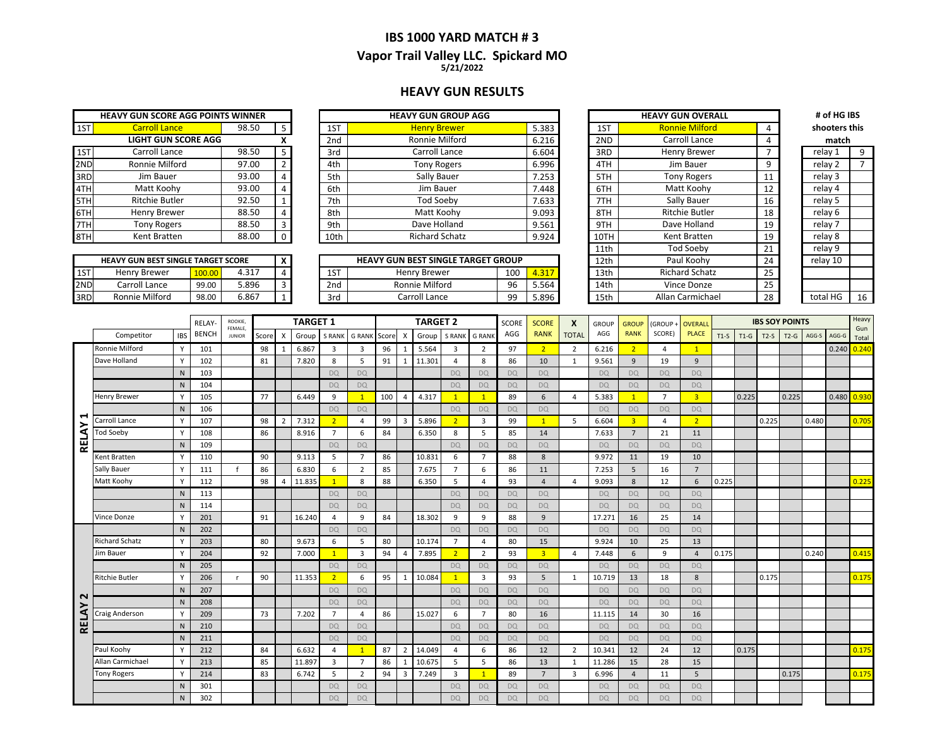### **IBS 1000 YARD MATCH # 3 5/21/2022 Vapor Trail Valley LLC. Spickard MO**

#### **HEAVY GUN RESULTS**

|     | <b>HEAVY GUN SCORE AGG POINTS WINNER</b> |       |                |                 | <b>HEAVY GUN GROUP AGG</b> |
|-----|------------------------------------------|-------|----------------|-----------------|----------------------------|
| 1ST | <b>Carroll Lance</b>                     | 98.50 | 5              | 1ST             | <b>Henry Brewer</b>        |
|     | <b>LIGHT GUN SCORE AGG</b>               |       | X              | 2 <sub>nd</sub> | Ronnie Milford             |
| 1ST | Carroll Lance                            | 98.50 | 5              | 3rd             | Carroll Lance              |
| 2ND | Ronnie Milford                           | 97.00 | $\overline{2}$ | 4th             | <b>Tony Rogers</b>         |
| 3RD | Jim Bauer                                | 93.00 | 4              | 5th             | Sally Bauer                |
| 4TH | Matt Koohy                               | 93.00 | 4              | 6th             | Jim Bauer                  |
| 5TH | <b>Ritchie Butler</b>                    | 92.50 | 1              | 7th             | <b>Tod Soeby</b>           |
| 6TH | Henry Brewer                             | 88.50 | $\overline{4}$ | 8th             | Matt Koohy                 |
| 7TH | <b>Tony Rogers</b>                       | 88.50 | 3              | 9th             | Dave Holland               |
| 8TH | Kent Bratten                             | 88.00 | 0              | 10th            | <b>Richard Schatz</b>      |

| <b>HEAVY GUN BEST SINGLE TARGET SCORE</b> |                |        |       |  |  |  |  |  |  |  |  |  |  |
|-------------------------------------------|----------------|--------|-------|--|--|--|--|--|--|--|--|--|--|
| 1ST                                       | Henry Brewer   | 100.00 | 4.317 |  |  |  |  |  |  |  |  |  |  |
| 2ND                                       | Carroll Lance  | 99.00  | 5.896 |  |  |  |  |  |  |  |  |  |  |
|                                           | Ronnie Milford | 98.00  | 6.867 |  |  |  |  |  |  |  |  |  |  |

|     | <b>HEAVY GUN SCORE AGG POINTS WINNER</b> |       |  |      | <b>HEAVY GUN GROUP AGG</b> |       |      | <b>HEAVY GUN OVERALL</b> |    | # of HG IBS   |  |
|-----|------------------------------------------|-------|--|------|----------------------------|-------|------|--------------------------|----|---------------|--|
| 1ST | <b>Carroll Lance</b>                     | 98.50 |  | 1ST  | <b>Henry Brewer</b>        | 5.383 | 1ST  | <b>Ronnie Milford</b>    |    | shooters this |  |
|     | <b>LIGHT GUN SCORE AGG</b>               |       |  | 2nd  | Ronnie Milford             | 6.216 | 2ND  | Carroll Lance            |    | match         |  |
| 1ST | Carroll Lance                            | 98.50 |  | 3rd  | Carroll Lance              | 6.604 | 3RD  | Henry Brewer             |    | relay 1       |  |
| 2ND | Ronnie Milford                           | 97.00 |  | 4th  | <b>Tony Rogers</b>         | 6.996 | 4TH  | Jim Bauer                |    | relay 2       |  |
| 3RD | Jim Bauer                                | 93.00 |  | 5th  | Sally Bauer                | 7.253 | 5TH  | <b>Tony Rogers</b>       |    | relay 3       |  |
| 4TH | Matt Koohy                               | 93.00 |  | 6th  | Jim Bauer                  | 7.448 | 6TH  | Matt Koohy               |    | relav 4       |  |
| 5TH | <b>Ritchie Butler</b>                    | 92.50 |  | 7th  | Tod Soeby                  | 7.633 | 7TH  | Sally Bauer              | 16 | relay 5       |  |
| 6TH | Henry Brewer                             | 88.50 |  | 8th  | Matt Koohy                 | 9.093 | 8TH  | Ritchie Butler           | 18 | relay 6       |  |
| 7TH | Tony Rogers                              | 88.50 |  | 9th  | Dave Holland               | 9.561 | 9TH  | Dave Holland             | 19 | relay 7       |  |
| 8TH | Kent Bratten                             | 88.00 |  | 10th | <b>Richard Schatz</b>      | 9.924 | 10TH | Kent Bratten             | 19 | relay 8       |  |
|     |                                          |       |  |      |                            |       |      |                          |    |               |  |

|     | <b>HEAVY GUN BEST SINGLE TARGET SCORE</b> |        |       |  |           | <b>HEAVY GUN BEST SINGLE TARGET GROUP</b> |     |       | 12th | il Koohv<br>Pat       | 24 | relav 10        |    |
|-----|-------------------------------------------|--------|-------|--|-----------|-------------------------------------------|-----|-------|------|-----------------------|----|-----------------|----|
| 1ST | Henry Brewer                              | 100.00 | 4.317 |  | 1CT<br>⊥⊃ | Henry Brewer                              | 100 | 4.317 | 13th | <b>Richard Schatz</b> | تے |                 |    |
| 2ND | Carroll Lance                             | 99.00  | 5.896 |  | 2nd       | Ronnie Milford                            |     | 5.564 | 14th | Vince Donze           |    |                 |    |
| 3RD | Ronnie Milford                            | 98.00  | 0.867 |  | 3rd       | Carroll Lance                             | nn  | 5.896 | 15th | Allan Carmichael      |    | $\sim$<br>total | 16 |

|      | <b>HEAVY GUN OVERALL</b> |    | # of HG IBS   |    |
|------|--------------------------|----|---------------|----|
| 1ST  | <b>Ronnie Milford</b>    | 4  | shooters this |    |
| 2ND  | Carroll Lance            | 4  | match         |    |
| 3RD  | Henry Brewer             | 7  | relay 1       | 9  |
| 4TH  | Jim Bauer                | 9  | relay 2       | 7  |
| 5TH  | <b>Tony Rogers</b>       | 11 | relay 3       |    |
| 6TH  | Matt Koohy               | 12 | relay 4       |    |
| 7TH  | Sally Bauer              | 16 | relay 5       |    |
| 8TH  | <b>Ritchie Butler</b>    | 18 | relay 6       |    |
| 9TH  | Dave Holland             | 19 | relay 7       |    |
| 10TH | Kent Bratten             | 19 | relay 8       |    |
| 11th | <b>Tod Soeby</b>         | 21 | relay 9       |    |
| 12th | Paul Koohy               | 24 | relay 10      |    |
| 13th | <b>Richard Schatz</b>    | 25 |               |    |
| 14th | Vince Donze              | 25 |               |    |
| 15th | Allan Carmichael         | 28 | total HG      | 16 |

| shooters this |
|---------------|
|               |
| 9             |
| 7             |
|               |
|               |
|               |
|               |
|               |
|               |
|               |
|               |
|               |
|               |
| 16            |
|               |

|              |                       |              | <b>RELAY</b> | ROOKIE,                  |       |                | <b>TARGET 1</b> |                |                |       | <b>TARGET 2</b><br><b>G RANK</b><br>X |        | <b>SCORE</b>   | <b>SCORE</b>            | X         | <b>GROUP</b>   | <b>GROUP</b>   | (GROUP-   | <b>OVERALI</b> |                |                |        | <b>IBS SOY POINTS</b> |        |        | Heavy |       |              |
|--------------|-----------------------|--------------|--------------|--------------------------|-------|----------------|-----------------|----------------|----------------|-------|---------------------------------------|--------|----------------|-------------------------|-----------|----------------|----------------|-----------|----------------|----------------|----------------|--------|-----------------------|--------|--------|-------|-------|--------------|
|              | Competitor            | <b>IBS</b>   | <b>BENCH</b> | FEMALE.<br><b>JUNIOR</b> | Score | X              | Group           | <b>S RANK</b>  | <b>G RANK</b>  | Score |                                       | Group  | S RANK         |                         | AGG       | <b>RANK</b>    | <b>TOTAL</b>   | AGG       | <b>RANK</b>    | SCORE)         | <b>PLACE</b>   | $T1-S$ | $T1-G$                | $T2-S$ | $T2-G$ | AGG-S | AGG-G | Gun<br>Total |
|              | Ronnie Milford        | Y            | 101          |                          | 98    | $\overline{1}$ | 6.867           | $\overline{3}$ | $\overline{3}$ | 96    |                                       | 5.564  | $\overline{3}$ | 2                       | 97        | 2 <sup>2</sup> | 2              | 6.216     | $2^{\circ}$    | $\overline{4}$ | 1              |        |                       |        |        |       | 0.240 | 0.240        |
|              | Dave Holland          | Y            | 102          |                          | 81    |                | 7.820           | 8              | 5              | 91    | $\mathbf{1}$                          | 11.301 | $\overline{a}$ | 8                       | 86        | 10             | 1              | 9.561     | 9              | 19             | 9              |        |                       |        |        |       |       |              |
|              |                       | N            | 103          |                          |       |                |                 | <b>DQ</b>      | <b>DO</b>      |       |                                       |        | <b>DQ</b>      | <b>DQ</b>               | <b>DO</b> | <b>DQ</b>      |                | DQ        | <b>DQ</b>      | <b>DQ</b>      | <b>DQ</b>      |        |                       |        |        |       |       |              |
|              |                       | N            | 104          |                          |       |                |                 | <b>DQ</b>      | <b>DQ</b>      |       |                                       |        | <b>DQ</b>      | <b>DQ</b>               | <b>DQ</b> | <b>DQ</b>      |                | <b>DQ</b> | <b>DQ</b>      | <b>DQ</b>      | <b>DQ</b>      |        |                       |        |        |       |       |              |
|              | Henry Brewer          | Y            | 105          |                          | 77    |                | 6.449           | 9              | $\overline{1}$ | 100   | 4                                     | 4.317  | $\overline{1}$ | $\mathbf{1}$            | 89        | 6              | 4              | 5.383     | $\mathbf{1}$   | $\overline{7}$ | $\overline{3}$ |        | 0.225                 |        | 0.225  |       | 0.480 | 0.930        |
|              |                       | N            | 106          |                          |       |                |                 | <b>DQ</b>      | <b>DQ</b>      |       |                                       |        | <b>DQ</b>      | DQ                      | <b>DQ</b> | <b>DQ</b>      |                | <b>DQ</b> | <b>DQ</b>      | <b>DQ</b>      | <b>DQ</b>      |        |                       |        |        |       |       |              |
| ⊣<br>≻       | Carroll Lance         | Y            | 107          |                          | 98    | $\overline{2}$ | 7.312           | 2 <sup>2</sup> | 4              | 99    | 3                                     | 5.896  | $\overline{2}$ | $\overline{\mathbf{3}}$ | 99        | $\mathbf{1}$   | -5             | 6.604     | $\overline{3}$ | $\overline{4}$ | 2 <sup>1</sup> |        |                       | 0.225  |        | 0.480 |       | 0.705        |
| <b>RELA</b>  | <b>Tod Soeby</b>      | V            | 108          |                          | 86    |                | 8.916           | $\overline{7}$ | 6              | 84    |                                       | 6.350  | 8              | 5                       | 85        | 14             |                | 7.633     | $\overline{7}$ | 21             | 11             |        |                       |        |        |       |       |              |
|              |                       | $\mathsf{N}$ | 109          |                          |       |                |                 | <b>DQ</b>      | <b>DQ</b>      |       |                                       |        | <b>DO</b>      | <b>DQ</b>               | <b>DO</b> | <b>DQ</b>      |                | <b>DO</b> | <b>DQ</b>      | <b>DQ</b>      | <b>DO</b>      |        |                       |        |        |       |       |              |
|              | Kent Bratten          | Y            | 110          |                          | 90    |                | 9.113           | 5              | $\overline{7}$ | 86    |                                       | 10.831 | 6              | $\overline{7}$          | 88        | 8              |                | 9.972     | 11             | 19             | 10             |        |                       |        |        |       |       |              |
|              | Sally Bauer           | Y            | 111          | $\mathbf{f}$             | 86    |                | 6.830           | 6              | 2              | 85    |                                       | 7.675  | $\overline{7}$ | 6                       | 86        | 11             |                | 7.253     | 5              | 16             | $\overline{7}$ |        |                       |        |        |       |       |              |
|              | Matt Koohy            | Y            | 112          |                          | 98    | $\overline{4}$ | 11.835          | $\mathbf{1}$   | 8              | 88    |                                       | 6.350  | -5             | $\overline{4}$          | 93        | $\overline{4}$ | $\Delta$       | 9.093     | 8              | 12             | 6              | 0.225  |                       |        |        |       |       | 0.225        |
|              |                       | N            | 113          |                          |       |                |                 | <b>DQ</b>      | <b>DO</b>      |       |                                       |        | <b>DQ</b>      | DQ                      | <b>DQ</b> | DQ             |                | <b>DQ</b> | DQ             | <b>DQ</b>      | <b>DQ</b>      |        |                       |        |        |       |       |              |
|              |                       | N            | 114          |                          |       |                |                 | <b>DQ</b>      | <b>DO</b>      |       |                                       |        | <b>DQ</b>      | <b>DQ</b>               | <b>DO</b> | <b>DQ</b>      |                | <b>DO</b> | <b>DQ</b>      | <b>DO</b>      | <b>DO</b>      |        |                       |        |        |       |       |              |
|              | Vince Donze           |              | 201          |                          | 91    |                | 16.240          | 4              | 9              | 84    |                                       | 18.302 | 9              | 9                       | 88        | 9              |                | 17.271    | 16             | 25             | 14             |        |                       |        |        |       |       |              |
|              |                       | N            | 202          |                          |       |                |                 | <b>DQ</b>      | <b>DQ</b>      |       |                                       |        | <b>DQ</b>      | DQ                      | <b>DQ</b> | <b>DQ</b>      |                | <b>DQ</b> | <b>DO</b>      | <b>DQ</b>      | <b>DQ</b>      |        |                       |        |        |       |       |              |
|              | <b>Richard Schatz</b> | Y            | 203          |                          | 80    |                | 9.673           | 6              | 5              | 80    |                                       | 10.174 | $\overline{7}$ | 4                       | 80        | 15             |                | 9.924     | 10             | 25             | 13             |        |                       |        |        |       |       |              |
|              | Jim Bauer             |              | 204          |                          | 92    |                | 7.000           | $\mathbf{1}$   | 3              | 94    | $\Delta$                              | 7.895  | 2 <sup>1</sup> | $\overline{2}$          | 93        | $\overline{3}$ | $\overline{4}$ | 7.448     | 6              | 9              | $\overline{4}$ | 0.175  |                       |        |        | 0.240 |       | 0.415        |
|              |                       | N            | 205          |                          |       |                |                 | <b>DQ</b>      | <b>DQ</b>      |       |                                       |        | <b>DQ</b>      | <b>DQ</b>               | <b>DQ</b> | <b>DQ</b>      |                | <b>DQ</b> | <b>DQ</b>      | <b>DQ</b>      | <b>DQ</b>      |        |                       |        |        |       |       |              |
|              | <b>Ritchie Butler</b> | Y            | 206          | $\mathbf{r}$             | 90    |                | 11.353          | $\overline{2}$ | 6              | 95    | $\mathbf{1}$                          | 10.084 | $\overline{1}$ | $\overline{3}$          | 93        | 5              | 1              | 10.719    | 13             | 18             | 8              |        |                       | 0.175  |        |       |       | 0.175        |
| $\sim$       |                       | N            | 207          |                          |       |                |                 | <b>DQ</b>      | <b>DO</b>      |       |                                       |        | <b>DO</b>      | <b>DQ</b>               | <b>DO</b> | <b>DQ</b>      |                | <b>DO</b> | <b>DQ</b>      | <b>DO</b>      | <b>DO</b>      |        |                       |        |        |       |       |              |
|              |                       | N            | 208          |                          |       |                |                 | <b>DQ</b>      | DO             |       |                                       |        | <b>DQ</b>      | DQ                      | <b>DQ</b> | <b>DQ</b>      |                | <b>DQ</b> | <b>DO</b>      | <b>DQ</b>      | <b>DQ</b>      |        |                       |        |        |       |       |              |
| <b>RELAY</b> | Craig Anderson        | Y            | 209          |                          | 73    |                | 7.202           | $\overline{7}$ | $\overline{4}$ | 86    |                                       | 15.027 | 6              | $\overline{7}$          | 80        | 16             |                | 11.115    | 14             | 30             | 16             |        |                       |        |        |       |       |              |
|              |                       | N            | 210          |                          |       |                |                 | <b>DQ</b>      | <b>DO</b>      |       |                                       |        | <b>DO</b>      | <b>DQ</b>               | <b>DQ</b> | <b>DQ</b>      |                | <b>DO</b> | <b>DO</b>      | <b>DQ</b>      | <b>DQ</b>      |        |                       |        |        |       |       |              |
|              |                       | N            | 211          |                          |       |                |                 | <b>DQ</b>      | <b>DQ</b>      |       |                                       |        | <b>DQ</b>      | <b>DQ</b>               | <b>DQ</b> | <b>DQ</b>      |                | <b>DQ</b> | <b>DQ</b>      | <b>DQ</b>      | <b>DQ</b>      |        |                       |        |        |       |       |              |
|              | Paul Koohv            | Y            | 212          |                          | 84    |                | 6.632           | $\overline{4}$ | $\overline{1}$ | 87    | $\overline{\phantom{0}}$              | 14.049 | $\Delta$       | 6                       | 86        | 12             | 2              | 10.341    | 12             | 24             | 12             |        | 0.175                 |        |        |       |       | 0.175        |
|              | Allan Carmichael      | Y            | 213          |                          | 85    |                | 11.897          | $\overline{3}$ | $\overline{7}$ | 86    |                                       | 10.675 | 5              | 5                       | 86        | 13             | 1              | 11.286    | 15             | 28             | 15             |        |                       |        |        |       |       |              |
|              | <b>Tony Rogers</b>    | V            | 214          |                          | 83    |                | 6.742           | 5              | $\overline{2}$ | 94    | 3                                     | 7.249  | $\overline{3}$ | $\mathbf{1}$            | 89        | $\overline{7}$ | 3              | 6.996     | $\overline{4}$ | 11             | 5              |        |                       |        | 0.175  |       |       | 0.175        |
|              |                       | N            | 301          |                          |       |                |                 | <b>DQ</b>      | <b>DO</b>      |       |                                       |        | <b>DQ</b>      | DQ                      | <b>DQ</b> | <b>DQ</b>      |                | <b>DO</b> | <b>DQ</b>      | <b>DQ</b>      | <b>DQ</b>      |        |                       |        |        |       |       |              |
|              |                       | N            | 302          |                          |       |                |                 | <b>DO</b>      | <b>DO</b>      |       |                                       |        | <b>DQ</b>      | DQ                      | <b>DO</b> | <b>DQ</b>      |                | <b>DO</b> | <b>DQ</b>      | <b>DO</b>      | <b>DO</b>      |        |                       |        |        |       |       |              |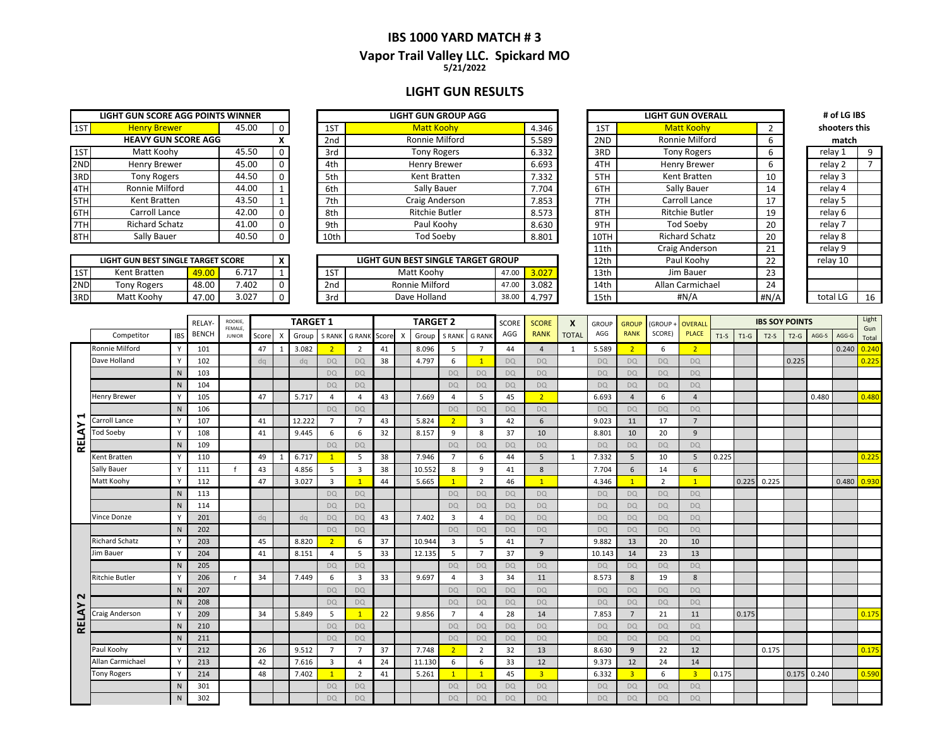### **IBS 1000 YARD MATCH # 3 Vapor Trail Valley LLC. Spickard MO 5/21/2022**

### **LIGHT GUN RESULTS**

| LIGHT GUN SCORE AGG POINTS WINNER |                            |       |   |  |  |  |  |  |  |  |  |
|-----------------------------------|----------------------------|-------|---|--|--|--|--|--|--|--|--|
| 1ST                               | <b>Henry Brewer</b>        | 45.00 |   |  |  |  |  |  |  |  |  |
|                                   | <b>HEAVY GUN SCORE AGG</b> |       | x |  |  |  |  |  |  |  |  |
| 1ST                               | Matt Koohy                 | 45.50 |   |  |  |  |  |  |  |  |  |
| 2ND                               | Henry Brewer               | 45.00 | O |  |  |  |  |  |  |  |  |
| 3RD                               | <b>Tony Rogers</b>         | 44.50 | O |  |  |  |  |  |  |  |  |
| 4TH                               | Ronnie Milford             | 44.00 | 1 |  |  |  |  |  |  |  |  |
| 5TH                               | Kent Bratten               | 43.50 | 1 |  |  |  |  |  |  |  |  |
| 6TH                               | Carroll Lance              | 42.00 | n |  |  |  |  |  |  |  |  |
|                                   | <b>Richard Schatz</b>      | 41.00 |   |  |  |  |  |  |  |  |  |
|                                   | Sally Bauer                | 40.50 |   |  |  |  |  |  |  |  |  |

|      | LIGHT GUN BEST SINGLE TARGET SCORE |       |       |  |
|------|------------------------------------|-------|-------|--|
| 1ST  | Kent Bratten                       | 49.00 | 6.717 |  |
| 2ND  | <b>Tony Rogers</b>                 | 48.00 | 7.402 |  |
| '3RD | Matt Koohv                         | 47.00 | 3.027 |  |

|     | LIGHT GUN SCORE AGG POINTS WINNER |       |          |                 | <b>LIGHT GUN GROUP AGG</b> |       |      | <b>LIGHT GUN OVERALL</b> |    | # of LG IBS   |  |
|-----|-----------------------------------|-------|----------|-----------------|----------------------------|-------|------|--------------------------|----|---------------|--|
| 1ST | <b>Henry Brewer</b>               | 45.00 | $\Omega$ | 1ST             | <b>Matt Koohv</b>          | 4.346 | 1ST  | <b>Matt Koohy</b>        |    | shooters this |  |
|     | <b>HEAVY GUN SCORE AGG</b>        |       |          | 2 <sub>nd</sub> | Ronnie Milford             | 5.589 | 2ND  | Ronnie Milford           |    | match         |  |
| 1ST | Matt Koohy                        | 45.50 | $\Omega$ | 3rd             | <b>Tony Rogers</b>         | 6.332 | 3RD  | <b>Tony Rogers</b>       | b  | relay 1       |  |
| 2ND | Henry Brewer                      | 45.00 |          | 4th             | Henry Brewer               | 6.693 | 4TH  | Henry Brewer             | b  | relay 2       |  |
| 3RD | Tony Rogers                       | 44.50 | $\Omega$ | 5th             | Kent Bratten               | 7.332 | 5TH  | Kent Bratten             | 10 | relay 3       |  |
| 4TH | Ronnie Milford                    | 44.00 |          | 6th             | Sally Bauer                | 7.704 | 6TH  | Sally Bauer              | 14 | relay 4       |  |
| 5TH | Kent Bratten                      | 43.50 |          | 7th             | Craig Anderson             | 7.853 | 7TH  | Carroll Lance            |    | relay 5       |  |
| 6TH | Carroll Lance                     | 42.00 | $\Omega$ | 8th             | Ritchie Butler             | 8.573 | 8TH  | <b>Ritchie Butler</b>    | 19 | relay 6       |  |
| 7TH | Richard Schatz                    | 41.00 |          | 9th             | Paul Koohy                 | 8.630 | 9TH  | <b>Tod Soebv</b>         | 20 | relay 7       |  |
| 8TH | Sally Bauer                       | 40.50 | $\Omega$ | 10th            | Tod Soeby                  | 8.801 | 10TH | <b>Richard Schatz</b>    | 20 | relay 8       |  |
|     |                                   |       |          |                 |                            |       |      |                          |    |               |  |

|     | LIGHT GUN BEST SINGLE TARGET SCORE |       |       |  |     | LIGHT GUN BEST SINGLE TARGET GROUP |       |       | 12 <sub>th</sub> | Paul Koohy             | $\sim$ | relav 10 |    |
|-----|------------------------------------|-------|-------|--|-----|------------------------------------|-------|-------|------------------|------------------------|--------|----------|----|
| 1ST | Kent Bratten                       | 9.00  | 6.717 |  | 1ST | Matt Koohy                         | 47.OO | 3.027 | 13th             | Jim Bauer              |        |          |    |
| 2ND | Tony Rogers                        | 18.00 | 402.  |  | 2nd | Milford<br>Ronnie                  |       | 3.082 | 14th             | <b>Nlan Carmichael</b> |        |          |    |
| 3RD | Matt Koohy                         | 47.00 | 3.027 |  | 3rd | Dave Holland                       |       | 4.797 | 15th             | #N/A                   | #N/A   | total L  | 16 |

| LIGHT GUN GROUP AGG         |       |       |                  | <b>LIGHT GUN OVERALL</b> |                | # of LG IBS   |    |
|-----------------------------|-------|-------|------------------|--------------------------|----------------|---------------|----|
| <b>Matt Koohv</b>           |       | 4.346 | 1ST              | <b>Matt Koohv</b>        | $\overline{2}$ | shooters this |    |
| Ronnie Milford              |       | 5.589 | 2ND              | Ronnie Milford           | 6              | match         |    |
| <b>Tony Rogers</b>          |       | 6.332 | 3RD              | <b>Tony Rogers</b>       | 6              | relay 1       | 9  |
| Henry Brewer                |       | 6.693 | 4TH              | Henry Brewer             | 6              | relay 2       | 7  |
| Kent Bratten                |       | 7.332 | 5TH              | Kent Bratten             | 10             | relay 3       |    |
| Sally Bauer                 |       | 7.704 | 6TH              | Sally Bauer              | 14             | relay 4       |    |
| Craig Anderson              |       | 7.853 | 7TH              | Carroll Lance            | 17             | relay 5       |    |
| <b>Ritchie Butler</b>       |       | 8.573 | 8TH              | <b>Ritchie Butler</b>    | 19             | relay 6       |    |
| Paul Koohy                  |       | 8.630 | 9TH              | <b>Tod Soeby</b>         | 20             | relay 7       |    |
| <b>Tod Soeby</b>            |       | 8.801 | 10TH             | <b>Richard Schatz</b>    | 20             | relay 8       |    |
|                             |       |       | 11th             | Craig Anderson           | 21             | relay 9       |    |
| UN BEST SINGLE TARGET GROUP |       |       | 12th             | Paul Koohy               | 22             | relay 10      |    |
| Matt Koohy                  | 47.00 | 3.027 | 13 <sub>th</sub> | Jim Bauer                | 23             |               |    |
| Ronnie Milford              | 47.00 | 3.082 | 14 <sub>th</sub> | Allan Carmichael         | 24             |               |    |
| Dave Holland                | 38.00 | 4.797 | 15th             | #N/A                     | #N/A           | total LG      | 1( |

| match    |    |
|----------|----|
| relay 1  | 9  |
| relay 2  | 7  |
| relay 3  |    |
| relay 4  |    |
| relay 5  |    |
| relay 6  |    |
| relay 7  |    |
| relay 8  |    |
| relay 9  |    |
| relay 10 |    |
|          |    |
|          |    |
| total LG | 16 |
|          |    |

|              |                       |            | <b>RELAY-</b> | ROOKIE,<br>FEMALE. |       |                        | <b>TARGET 1</b> |                |                         |       |           | <b>TARGET 2</b> |                |                | SCORE     | <b>SCORE</b>   | $\boldsymbol{x}$ | <b>GROUP</b> | <b>GROUP</b>            | GROUP+         | <b>OVERALI</b>          |        |        | <b>IBS SOY POINTS</b> |        |       |       | Light        |
|--------------|-----------------------|------------|---------------|--------------------|-------|------------------------|-----------------|----------------|-------------------------|-------|-----------|-----------------|----------------|----------------|-----------|----------------|------------------|--------------|-------------------------|----------------|-------------------------|--------|--------|-----------------------|--------|-------|-------|--------------|
|              | Competitor            | <b>IBS</b> | <b>BENCH</b>  | <b>JUNIOR</b>      | Score | X                      | Group           | S RANK         | <b>G RANK</b>           | Score | X         | Group           | <b>S RANK</b>  | <b>G RANK</b>  | AGG       | <b>RANK</b>    | <b>TOTAL</b>     | AGG          | <b>RANK</b>             | SCORE)         | <b>PLACE</b>            | $T1-S$ | $T1-G$ | $T2-S$                | $T2-G$ | AGG-S | AGG-G | Gun<br>Total |
|              | Ronnie Milford        | <b>V</b>   | 101           |                    | 47    |                        | 3.082           | 2 <sup>2</sup> | $\overline{2}$          | 41    |           | 8.096           | 5              | $\overline{7}$ | 44        | $\overline{4}$ | 1                | 5.589        | $\overline{2}$          | 6              | $\overline{2}$          |        |        |                       |        |       | 0.240 | 0.240        |
|              | Dave Holland          |            | 102           |                    | dq    |                        | dq              | DQ             | <b>DQ</b>               | 38    |           | 4.797           | 6              | $\mathbf{1}$   | DQ        | DQ             |                  | DQ           | DQ                      | <b>DQ</b>      | DO.                     |        |        |                       | 0.225  |       |       | 0.225        |
|              |                       | N          | 103           |                    |       |                        |                 | <b>DQ</b>      | <b>DQ</b>               |       |           |                 | <b>DQ</b>      | <b>DQ</b>      | <b>DQ</b> | <b>DQ</b>      |                  | <b>DO</b>    | <b>DQ</b>               | <b>DQ</b>      | <b>DQ</b>               |        |        |                       |        |       |       |              |
|              |                       | N          | 104           |                    |       |                        |                 | <b>DQ</b>      | <b>DQ</b>               |       |           |                 | DQ             | DQ             | <b>DQ</b> | <b>DQ</b>      |                  | DQ           | <b>DQ</b>               | <b>DQ</b>      | <b>DQ</b>               |        |        |                       |        |       |       |              |
|              | Henry Brewer          |            | 105           |                    | 47    |                        | 5.717           | $\Delta$       | 4                       | 43    |           | 7.669           | $\overline{4}$ | 5              | 45        | $\overline{2}$ |                  | 6.693        | $\overline{4}$          | 6              | $\overline{4}$          |        |        |                       |        | 0.480 |       | 0.480        |
|              |                       | N          | 106           |                    |       | <b>DQ</b><br><b>DQ</b> |                 |                |                         |       | <b>DQ</b> | <b>DQ</b>       | <b>DQ</b>      | <b>DQ</b>      |           | <b>DO</b>      | <b>DQ</b>        | <b>DQ</b>    | <b>DQ</b>               |                |                         |        |        |                       |        |       |       |              |
| ᆸ            | Carroll Lance         | <b>Y</b>   | 107           |                    | 41    |                        | 12.222          | $\overline{7}$ | $\overline{7}$          | 43    |           | 5.824           | 2 <sup>1</sup> | 3              | 42        | 6              |                  | 9.023        | 11                      | 17             | $\overline{7}$          |        |        |                       |        |       |       |              |
|              | <b>Tod Soeby</b>      | <b>V</b>   | 108           |                    | 41    |                        | 9.445           | 6              | 6                       | 32    |           | 8.157           | 9              | 8              | 37        | 10             |                  | 8.801        | 10                      | 20             | 9                       |        |        |                       |        |       |       |              |
| RELAY        |                       | N          | 109           |                    |       |                        |                 | <b>DQ</b>      | <b>DQ</b>               |       |           |                 | <b>DO</b>      | <b>DQ</b>      | <b>DQ</b> | <b>DQ</b>      |                  | <b>DO</b>    | <b>DQ</b>               | <b>DQ</b>      | <b>DQ</b>               |        |        |                       |        |       |       |              |
|              | Kent Bratten          | <b>V</b>   | 110           |                    | 49    |                        | 6.717           | $\mathbf{1}$   | 5                       | 38    |           | 7.946           | $\overline{7}$ | 6              | 44        | 5              | 1                | 7.332        | 5                       | 10             | 5                       | 0.225  |        |                       |        |       |       | 0.225        |
|              | Sally Bauer           |            | 111           |                    | 43    |                        | 4.856           | 5              | $\overline{\mathbf{3}}$ | 38    |           | 10.552          | 8              | 9              | 41        | 8              |                  | 7.704        | 6                       | 14             | 6                       |        |        |                       |        |       |       |              |
|              | Matt Koohy            |            | 112           |                    | 47    |                        | 3.027           | $\overline{3}$ | $\overline{1}$          | 44    |           | 5.665           | $\mathbf{1}$   | 2              | 46        | $\mathbf{1}$   |                  | 4.346        | $\overline{1}$          | $\overline{2}$ | $\mathbf{1}$            |        | 0.225  | 0.225                 |        |       | 0.480 | 0.93C        |
|              |                       | N          | 113           |                    |       |                        |                 | <b>DO</b>      | <b>DQ</b>               |       |           |                 | <b>DQ</b>      | DQ             | <b>DQ</b> | <b>DO</b>      |                  | <b>DO</b>    | <b>DQ</b>               | <b>DO</b>      | <b>DQ</b>               |        |        |                       |        |       |       |              |
|              |                       | N          | 114           |                    |       |                        |                 | <b>DQ</b>      | <b>DQ</b>               |       |           |                 | <b>DQ</b>      | <b>DQ</b>      | <b>DQ</b> | <b>DQ</b>      |                  | <b>DQ</b>    | <b>DQ</b>               | <b>DQ</b>      | <b>DQ</b>               |        |        |                       |        |       |       |              |
|              | Vince Donze           |            | 201           |                    | dq    |                        | dq              | <b>DQ</b>      | <b>DQ</b>               | 43    |           | 7.402           | $\overline{3}$ | 4              | DQ        | <b>DO</b>      |                  | <b>DQ</b>    | <b>DQ</b>               | <b>DQ</b>      | <b>DQ</b>               |        |        |                       |        |       |       |              |
|              |                       | N          | 202           |                    |       |                        |                 | DQ             | <b>DQ</b>               |       |           |                 | <b>DQ</b>      | DQ             | <b>DQ</b> | DQ             |                  | <b>DQ</b>    | DQ                      | DQ             | DO <sub>1</sub>         |        |        |                       |        |       |       |              |
|              | <b>Richard Schatz</b> |            | 203           |                    | 45    |                        | 8.820           | $\overline{2}$ | 6                       | 37    |           | 10.944          | $\overline{3}$ | 5              | 41        | $\overline{7}$ |                  | 9.882        | 13                      | 20             | 10                      |        |        |                       |        |       |       |              |
|              | Jim Bauer             |            | 204           |                    | 41    |                        | 8.151           | $\overline{a}$ | -5                      | 33    |           | 12.135          | 5              | $\overline{7}$ | 37        | 9              |                  | 10.143       | 14                      | 23             | 13                      |        |        |                       |        |       |       |              |
|              |                       | N          | 205           |                    |       |                        |                 | <b>DQ</b>      | <b>DQ</b>               |       |           |                 | DQ             | DQ             | DQ        | DO.            |                  | <b>DQ</b>    | DQ                      | <b>DQ</b>      | <b>DQ</b>               |        |        |                       |        |       |       |              |
|              | <b>Ritchie Butler</b> |            | 206           | $\mathbf{r}$       | 34    |                        | 7.449           | 6              | $\overline{3}$          | 33    |           | 9.697           | $\overline{4}$ | 3              | 34        | 11             |                  | 8.573        | 8                       | 19             | 8                       |        |        |                       |        |       |       |              |
| N            |                       | N          | 207           |                    |       |                        |                 | <b>DO</b>      | <b>DQ</b>               |       |           |                 | <b>DO</b>      | DQ             | <b>DQ</b> | <b>DO</b>      |                  | <b>DO</b>    | <b>DQ</b>               | <b>DQ</b>      | <b>DQ</b>               |        |        |                       |        |       |       |              |
|              |                       | N          | 208           |                    |       |                        |                 | <b>DQ</b>      | <b>DQ</b>               |       |           |                 | <b>DQ</b>      | DQ             | <b>DO</b> | <b>DO</b>      |                  | DQ           | <b>DQ</b>               | <b>DO</b>      | <b>DQ</b>               |        |        |                       |        |       |       |              |
|              | Craig Anderson        |            | 209           |                    | 34    |                        | 5.849           | 5              | $\mathbf{1}$            | 22    |           | 9.856           | $\overline{7}$ | 4              | 28        | 14             |                  | 7.853        | $\overline{7}$          | 21             | 11                      |        | 0.175  |                       |        |       |       | 0.175        |
| <b>RELAY</b> |                       | N          | 210           |                    |       |                        |                 | <b>DQ</b>      | <b>DQ</b>               |       |           |                 | DQ             | <b>DQ</b>      | DQ        | DO.            |                  | <b>DQ</b>    | <b>DQ</b>               | <b>DQ</b>      | <b>DQ</b>               |        |        |                       |        |       |       |              |
|              |                       | N          | 211           |                    |       |                        |                 | <b>DQ</b>      | <b>DQ</b>               |       |           |                 | <b>DQ</b>      | DQ             | <b>DQ</b> | DO.            |                  | <b>DQ</b>    | <b>DQ</b>               | <b>DQ</b>      | <b>DQ</b>               |        |        |                       |        |       |       |              |
|              | Paul Koohy            |            | 212           |                    | 26    |                        | 9.512           | $\overline{7}$ | $\overline{7}$          | 37    |           | 7.748           | 2 <sup>2</sup> | $\overline{2}$ | 32        | 13             |                  | 8.630        | 9                       | 22             | 12                      |        |        | 0.175                 |        |       |       | 0.175        |
|              | Allan Carmichael      |            | 213           |                    | 42    |                        | 7.616           | $\overline{3}$ | 4                       | 24    |           | 11.130          | 6              | 6              | 33        | 12             |                  | 9.373        | 12                      | 24             | 14                      |        |        |                       |        |       |       |              |
|              | <b>Tony Rogers</b>    |            | 214           |                    | 48    |                        | 7.402           | $\overline{1}$ | $\overline{2}$          | 41    |           | 5.261           | $\mathbf{1}$   | $\mathbf{1}$   | 45        | $\overline{3}$ |                  | 6.332        | $\overline{\mathbf{3}}$ | 6              | $\overline{\mathbf{3}}$ | 0.175  |        |                       | 0.175  | 0.240 |       | 0.590        |
|              |                       | N          | 301           |                    |       |                        |                 | <b>DQ</b>      | <b>DQ</b>               |       |           |                 | DQ             | DQ             | <b>DQ</b> | <b>DO</b>      |                  | <b>DQ</b>    | <b>DQ</b>               | <b>DQ</b>      | <b>DQ</b>               |        |        |                       |        |       |       |              |
|              |                       | N          | 302           |                    |       |                        |                 | <b>DQ</b>      | <b>DQ</b>               |       |           |                 | DQ             | <b>DQ</b>      | DQ        | <b>DQ</b>      |                  | <b>DQ</b>    | <b>DQ</b>               | <b>DQ</b>      | <b>DQ</b>               |        |        |                       |        |       |       |              |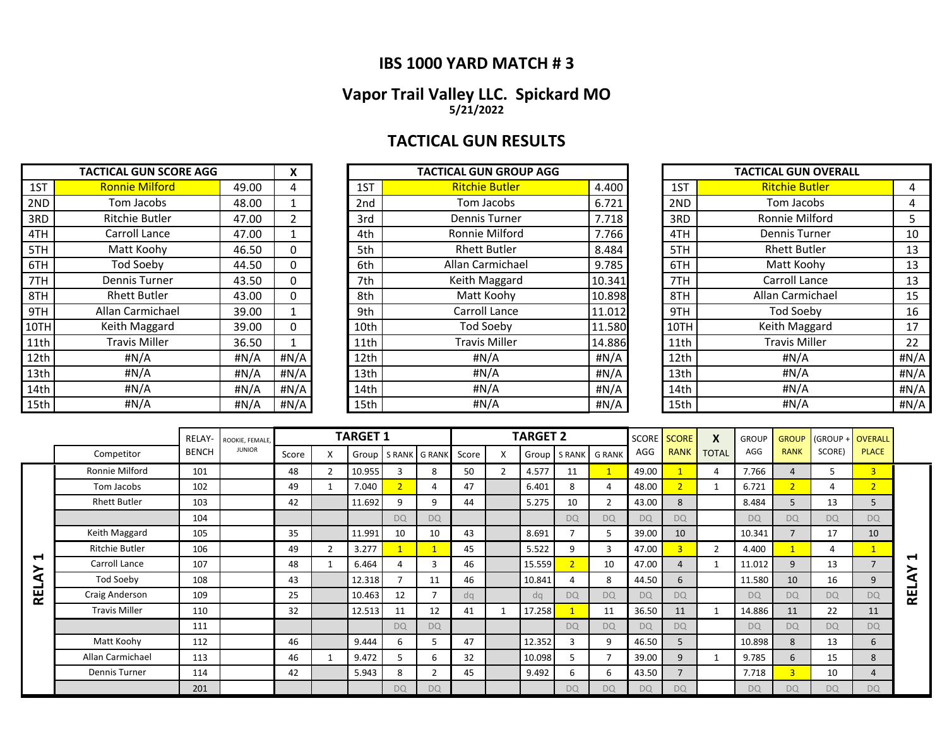### **IBS 1000 YARD MATCH # 3**

### **Vapor Trail Valley LLC. Spickard MO 5/21/2022**

# **TACTICAL GUN RESULTS**

|      | <b>TACTICAL GUN SCORE AGG</b> |       | X    |                 | <b>TACTICAL GUN GROUP AGG</b> |         |      | <b>TACTICAL GUN OVERALL</b> |       |
|------|-------------------------------|-------|------|-----------------|-------------------------------|---------|------|-----------------------------|-------|
| 1ST  | <b>Ronnie Milford</b>         | 49.00 | 4    | 1ST             | <b>Ritchie Butler</b>         | 4.400   | 1ST  | <b>Ritchie Butler</b>       | 4     |
| 2ND  | Tom Jacobs                    | 48.00 |      | 2 <sub>nd</sub> | Tom Jacobs                    | 6.721   | 2ND  | Tom Jacobs                  | 4     |
| 3RD  | Ritchie Butler                | 47.00 |      | 3rd             | <b>Dennis Turner</b>          | 7.718   | 3RD  | Ronnie Milford              | 5.    |
| 4TH  | Carroll Lance                 | 47.00 |      | 4th             | Ronnie Milford                | 7.766   | 4TH  | Dennis Turner               | 10    |
| 5TH  | Matt Koohy                    | 46.50 | 0    | 5th             | <b>Rhett Butler</b>           | 8.484   | 5TH  | <b>Rhett Butler</b>         | 13    |
| 6TH  | <b>Tod Soeby</b>              | 44.50 |      | 6th             | Allan Carmichael              | 9.785   | 6TH  | Matt Koohy                  | 13    |
| 7TH  | <b>Dennis Turner</b>          | 43.50 | 0    | 7th             | Keith Maggard                 | 10.341  | 7TH  | Carroll Lance               | 13    |
| 8TH  | <b>Rhett Butler</b>           | 43.00 | 0    | 8th             | Matt Koohy                    | 10.898  | 8TH  | Allan Carmichael            | 15    |
| 9TH  | Allan Carmichael              | 39.00 |      | 9th             | Carroll Lance                 | 11.012  | 9TH  | Tod Soeby                   | 16    |
| 10TH | Keith Maggard                 | 39.00 | 0    | 10th            | <b>Tod Soeby</b>              | 11.580  | 10TH | Keith Maggard               | 17    |
| 11th | <b>Travis Miller</b>          | 36.50 |      | 11th            | <b>Travis Miller</b>          | 14.886  | 11th | <b>Travis Miller</b>        | 22    |
| 12th | #N/A                          | #N/A  | #N/A | 12th            | # $N/A$                       | # $N/A$ | 12th | H N/A                       | H N/A |
| 13th | #N/A                          | #N/A  | #N/A | 13th            | #N/A                          | #N/A    | 13th | #N/A                        | #N/A  |
| 14th | #N/A                          | #N/A  | #N/A | 14th            | # $N/A$                       | #N/A    | 14th | H N/A                       | #N/A  |
| 15th | #N/A                          | #N/A  | #N/A | 15th            | #N/A                          | #N/A    | 15th | #N/A                        | #N/A  |

|      | TACTICAL GUN SCORE AGG |       | X    |      | TACTICAL GUN GROUP AGG |        |      | <b>TACTICAL GUN OVERALL</b> |      |
|------|------------------------|-------|------|------|------------------------|--------|------|-----------------------------|------|
| 1ST  | <b>Ronnie Milford</b>  | 49.00 | 4    | 1ST  | <b>Ritchie Butler</b>  | 4.400  | 1ST  | <b>Ritchie Butler</b>       | 4    |
| 2ND  | Tom Jacobs             | 48.00 |      | 2nd  | Tom Jacobs             | 6.721  | 2ND  | Tom Jacobs                  | 4    |
| 3RD  | <b>Ritchie Butler</b>  | 47.00 |      | 3rd  | Dennis Turner          | 7.718  | 3RD  | Ronnie Milford              |      |
| 4TH  | Carroll Lance          | 47.00 |      | 4th  | Ronnie Milford         | 7.766  | 4TH  | Dennis Turner               | 10   |
| 5TH  | Matt Koohy             | 46.50 | 0    | 5th  | <b>Rhett Butler</b>    | 8.484  | 5TH  | <b>Rhett Butler</b>         | 13   |
| 6TH  | Tod Soeby              | 44.50 | 0    | 6th  | Allan Carmichael       | 9.785  | 6TH  | Matt Koohy                  | 13   |
| 7TH  | Dennis Turner          | 43.50 | 0    | 7th  | Keith Maggard          | 10.341 | 7TH  | Carroll Lance               | 13   |
| 8TH  | <b>Rhett Butler</b>    | 43.00 | 0    | 8th  | Matt Koohy             | 10.898 | 8TH  | Allan Carmichael            | 15   |
| 9TH  | Allan Carmichael       | 39.00 |      | 9th  | Carroll Lance          | 11.012 | 9TH  | Tod Soeby                   | 16   |
| 10TH | Keith Maggard          | 39.00 | 0    | 10th | Tod Soeby              | 11.580 | 10TH | Keith Maggard               | 17   |
| 11th | <b>Travis Miller</b>   | 36.50 |      | 11th | <b>Travis Miller</b>   | 14.886 | 11th | <b>Travis Miller</b>        | 22   |
| 12th | #N/A                   | H N/A | #N/A | 12th | #N/A                   | #N/A   | 12th | #N/A                        | #N/A |
| 13th | #N/A                   | #N/A  | #N/A | 13th | # $N/A$                | #N/A   | 13th | #N/A                        | #N/A |
| 14th | #N/A                   | #N/A  | #N/A | 14th | # $N/A$                | #N/A   | 14th | #N/A                        | #N/A |
| 15th | #N/A                   | #N/A  | #N/A | 15th | #N/A                   | #N/A   | 15th | #N/A                        | #N/A |

|      | <b>TACTICAL GUN OVERALL</b> |      |
|------|-----------------------------|------|
| 1ST  | <u>Ritchie Butler</u>       | 4    |
| 2ND  | Tom Jacobs                  | 4    |
| 3RD  | Ronnie Milford              | 5    |
| 4TH  | Dennis Turner               | 10   |
| 5TH  | <b>Rhett Butler</b>         | 13   |
| 6TH  | Matt Koohy                  | 13   |
| 7TH  | Carroll Lance               | 13   |
| 8TH  | Allan Carmichael            | 15   |
| 9TH  | <b>Tod Soeby</b>            | 16   |
| 10TH | Keith Maggard               | 17   |
| 11th | <b>Travis Miller</b>        | 22   |
| 12th | #N/A                        | #N/A |
| 13th | #N/A                        | #N/A |
| 14th | #N/A                        | #N/A |
| 15th | #N/A                        | #N/A |

|        |                      | RELAY-       | ROOKIE, FEMALE, |       |   | <b>TARGET 1</b> |                |               |       | <b>TARGET 2</b> |                |                         |           | <b>SCORE</b> SCORE | X              | <b>GROUP</b> | <b>GROUP</b>   | (GROUP +  | <b>OVERALL</b> |            |
|--------|----------------------|--------------|-----------------|-------|---|-----------------|----------------|---------------|-------|-----------------|----------------|-------------------------|-----------|--------------------|----------------|--------------|----------------|-----------|----------------|------------|
|        | Competitor           | <b>BENCH</b> | <b>JUNIOR</b>   | Score | X | Group           |                | S RANK G RANK | Score |                 |                | Group   S RANK   G RANK | AGG       | <b>RANK</b>        | <b>TOTAL</b>   | AGG          | <b>RANK</b>    | SCORE)    | <b>PLACE</b>   |            |
|        | Ronnie Milford       | 101          |                 | 48    |   | 10.955          | $\mathbf{3}$   | 8             | 50    | 4.577           | 11             |                         | 49.00     |                    | 4              | 7.766        | $\overline{4}$ | 5.        | $\overline{3}$ |            |
|        | Tom Jacobs           | 102          |                 | 49    |   | 7.040           | $\overline{2}$ | 4             | 47    | 6.401           | 8              | 4                       | 48.00     | $\overline{2}$     |                | 6.721        | $\overline{2}$ | 4         | $\overline{2}$ |            |
|        | <b>Rhett Butler</b>  | 103          |                 | 42    |   | 11.692          | q              | 9             | 44    | 5.275           | 10             | $\overline{2}$          | 43.00     | 8                  |                | 8.484        | 5              | 13        | 5              |            |
|        |                      | 104          |                 |       |   |                 | <b>DQ</b>      | <b>DQ</b>     |       |                 | <b>DQ</b>      | <b>DQ</b>               | <b>DQ</b> | <b>DQ</b>          |                | <b>DQ</b>    | <b>DQ</b>      | <b>DQ</b> | <b>DQ</b>      |            |
|        | Keith Maggard        | 105          |                 | 35    |   | 11.991          | 10             | 10            | 43    | 8.691           |                | 5                       | 39.00     | 10                 |                | 10.341       | $\overline{7}$ | 17        | 10             |            |
|        | Ritchie Butler       | 106          |                 | 49    |   | 3.277           |                |               | 45    | 5.522           | 9              | 3                       | 47.00     | $\overline{3}$     | $\overline{2}$ | 4.400        |                | 4         | $\mathbf{1}$   |            |
| ↤<br>≻ | Carroll Lance        | 107          |                 | 48    |   | 6.464           | 4              | 3             | 46    | 15.559          | $\overline{2}$ | 10                      | 47.00     | $\overline{4}$     |                | 11.012       | 9              | 13        | $\overline{7}$ | ↤          |
| ⋖      | Tod Soeby            | 108          |                 | 43    |   | 12.318          | 7              | 11            | 46    | 10.841          | 4              | 8                       | 44.50     | 6                  |                | 11.580       | 10             | 16        | 9              | ኣ          |
| 栏      | Craig Anderson       | 109          |                 | 25    |   | 10.463          | 12             | 7             | da    | da              | D <sub>Q</sub> | <b>DQ</b>               | <b>DQ</b> | <b>DQ</b>          |                | <b>DO</b>    | <b>DQ</b>      | <b>DQ</b> | <b>DQ</b>      | <b>REL</b> |
|        | <b>Travis Miller</b> | 110          |                 | 32    |   | 12.513          | 11             | 12            | 41    | 17.258          |                | 11                      | 36.50     | 11                 |                | 14.886       | 11             | 22        | 11             |            |
|        |                      | 111          |                 |       |   |                 | <b>DQ</b>      | <b>DQ</b>     |       |                 | <b>DQ</b>      | <b>DQ</b>               | <b>DQ</b> | <b>DQ</b>          |                | <b>DQ</b>    | <b>DQ</b>      | <b>DQ</b> | <b>DQ</b>      |            |
|        | Matt Koohy           | 112          |                 | 46    |   | 9.444           | 6              |               | 47    | 12.352          | 3              | 9                       | 46.50     | 5                  |                | 10.898       | 8              | 13        | 6              |            |
|        | Allan Carmichael     | 113          |                 | 46    |   | 9.472           | 5              | 6             | 32    | 10.098          | .5             | 7                       | 39.00     | 9                  |                | 9.785        | 6              | 15        | 8              |            |
|        | Dennis Turner        | 114          |                 | 42    |   | 5.943           | 8              | ົາ            | 45    | 9.492           | 6              | 6                       | 43.50     | $\overline{7}$     |                | 7.718        | 3              | 10        | 4              |            |
|        |                      | 201          |                 |       |   |                 | <b>DQ</b>      | <b>DQ</b>     |       |                 | <b>DQ</b>      | <b>DQ</b>               | <b>DQ</b> | <b>DQ</b>          |                | <b>DQ</b>    | <b>DQ</b>      | <b>DQ</b> | <b>DQ</b>      |            |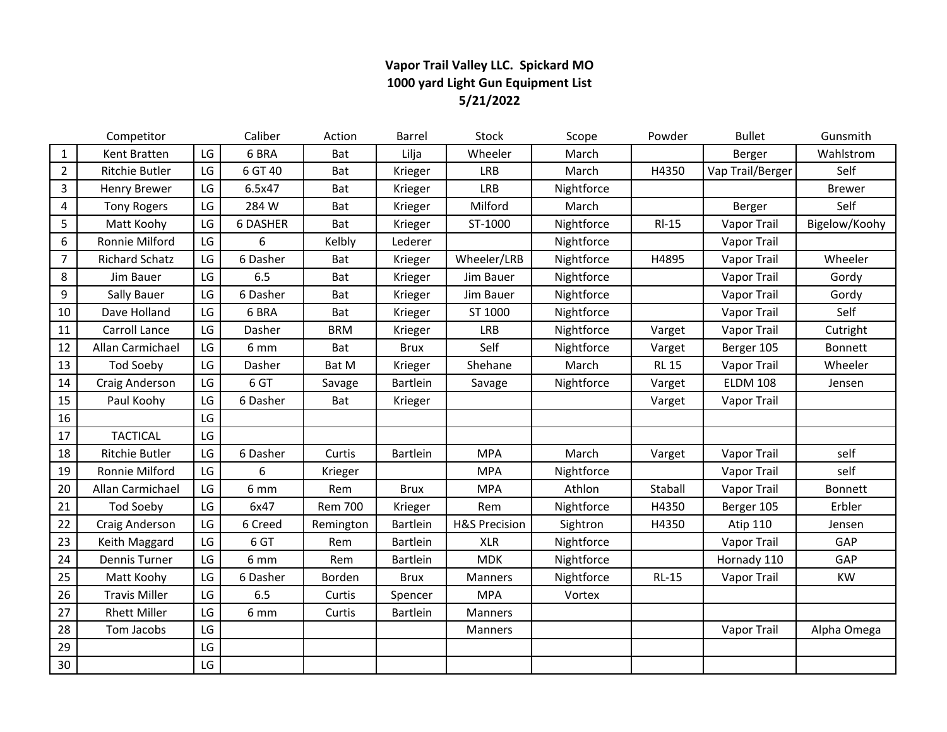### **Vapor Trail Valley LLC. Spickard MO 1000 yard Light Gun Equipment List 5/21/2022**

|                  | Competitor            |    | Caliber         | Action         | Barrel          | <b>Stock</b>             | Scope      | Powder       | <b>Bullet</b>    | Gunsmith      |
|------------------|-----------------------|----|-----------------|----------------|-----------------|--------------------------|------------|--------------|------------------|---------------|
| $\mathbf{1}$     | Kent Bratten          | LG | 6 BRA           | Bat            | Lilja           | Wheeler                  | March      |              | Berger           | Wahlstrom     |
| $\overline{2}$   | Ritchie Butler        | LG | 6 GT 40         | Bat            | Krieger         | <b>LRB</b>               | March      | H4350        | Vap Trail/Berger | Self          |
| 3                | <b>Henry Brewer</b>   | LG | 6.5x47          | Bat            | Krieger         | <b>LRB</b>               | Nightforce |              |                  | <b>Brewer</b> |
| 4                | Tony Rogers           | LG | 284 W           | Bat            | Krieger         | Milford                  | March      |              | Berger           | Self          |
| 5                | Matt Koohy            | LG | <b>6 DASHER</b> | Bat            | Krieger         | ST-1000                  | Nightforce | $RI-15$      | Vapor Trail      | Bigelow/Koohy |
| $\boldsymbol{6}$ | Ronnie Milford        | LG | 6               | Kelbly         | Lederer         |                          | Nightforce |              | Vapor Trail      |               |
| $\overline{7}$   | <b>Richard Schatz</b> | LG | 6 Dasher        | Bat            | Krieger         | Wheeler/LRB              | Nightforce | H4895        | Vapor Trail      | Wheeler       |
| 8                | Jim Bauer             | LG | 6.5             | Bat            | Krieger         | Jim Bauer                | Nightforce |              | Vapor Trail      | Gordy         |
| 9                | Sally Bauer           | LG | 6 Dasher        | Bat            | Krieger         | Jim Bauer                | Nightforce |              | Vapor Trail      | Gordy         |
| 10               | Dave Holland          | LG | 6 BRA           | Bat            | Krieger         | ST 1000                  | Nightforce |              | Vapor Trail      | Self          |
| 11               | Carroll Lance         | LG | Dasher          | <b>BRM</b>     | Krieger         | <b>LRB</b>               | Nightforce | Varget       | Vapor Trail      | Cutright      |
| 12               | Allan Carmichael      | LG | 6 mm            | Bat            | <b>Brux</b>     | Self                     | Nightforce | Varget       | Berger 105       | Bonnett       |
| 13               | <b>Tod Soeby</b>      | LG | Dasher          | Bat M          | Krieger         | Shehane                  | March      | <b>RL 15</b> | Vapor Trail      | Wheeler       |
| 14               | Craig Anderson        | LG | 6 GT            | Savage         | <b>Bartlein</b> | Savage                   | Nightforce | Varget       | <b>ELDM 108</b>  | Jensen        |
| 15               | Paul Koohy            | LG | 6 Dasher        | Bat            | Krieger         |                          |            | Varget       | Vapor Trail      |               |
| 16               |                       | LG |                 |                |                 |                          |            |              |                  |               |
| 17               | <b>TACTICAL</b>       | LG |                 |                |                 |                          |            |              |                  |               |
| 18               | Ritchie Butler        | LG | 6 Dasher        | Curtis         | Bartlein        | <b>MPA</b>               | March      | Varget       | Vapor Trail      | self          |
| 19               | Ronnie Milford        | LG | 6               | Krieger        |                 | <b>MPA</b>               | Nightforce |              | Vapor Trail      | self          |
| 20               | Allan Carmichael      | LG | 6 mm            | Rem            | <b>Brux</b>     | <b>MPA</b>               | Athlon     | Staball      | Vapor Trail      | Bonnett       |
| 21               | <b>Tod Soeby</b>      | LG | 6x47            | <b>Rem 700</b> | Krieger         | Rem                      | Nightforce | H4350        | Berger 105       | Erbler        |
| 22               | Craig Anderson        | LG | 6 Creed         | Remington      | Bartlein        | <b>H&amp;S Precision</b> | Sightron   | H4350        | <b>Atip 110</b>  | Jensen        |
| 23               | Keith Maggard         | LG | 6 GT            | Rem            | <b>Bartlein</b> | <b>XLR</b>               | Nightforce |              | Vapor Trail      | GAP           |
| 24               | Dennis Turner         | LG | 6 mm            | Rem            | <b>Bartlein</b> | <b>MDK</b>               | Nightforce |              | Hornady 110      | GAP           |
| 25               | Matt Koohy            | LG | 6 Dasher        | Borden         | <b>Brux</b>     | Manners                  | Nightforce | $RL-15$      | Vapor Trail      | KW            |
| 26               | <b>Travis Miller</b>  | LG | 6.5             | Curtis         | Spencer         | <b>MPA</b>               | Vortex     |              |                  |               |
| 27               | <b>Rhett Miller</b>   | LG | 6 mm            | Curtis         | Bartlein        | Manners                  |            |              |                  |               |
| 28               | Tom Jacobs            | LG |                 |                |                 | Manners                  |            |              | Vapor Trail      | Alpha Omega   |
| 29               |                       | LG |                 |                |                 |                          |            |              |                  |               |
| 30               |                       | LG |                 |                |                 |                          |            |              |                  |               |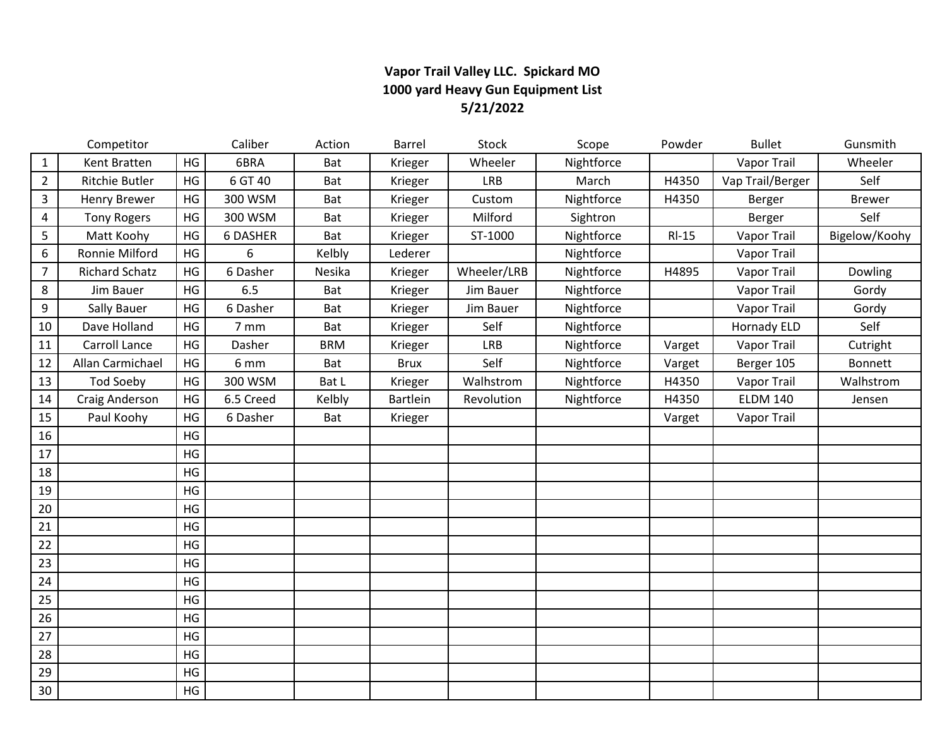### **Vapor Trail Valley LLC. Spickard MO 1000 yard Heavy Gun Equipment List 5/21/2022**

|                | Competitor            |    | Caliber   | Action     | Barrel      | Stock       | Scope      | Powder  | <b>Bullet</b>      | Gunsmith      |
|----------------|-----------------------|----|-----------|------------|-------------|-------------|------------|---------|--------------------|---------------|
| 1              | Kent Bratten          | HG | 6BRA      | Bat        | Krieger     | Wheeler     | Nightforce |         | <b>Vapor Trail</b> | Wheeler       |
| $\overline{2}$ | Ritchie Butler        | HG | 6 GT 40   | Bat        | Krieger     | <b>LRB</b>  | March      | H4350   | Vap Trail/Berger   | Self          |
| 3              | <b>Henry Brewer</b>   | HG | 300 WSM   | Bat        | Krieger     | Custom      | Nightforce | H4350   | Berger             | <b>Brewer</b> |
| $\overline{4}$ | <b>Tony Rogers</b>    | HG | 300 WSM   | Bat        | Krieger     | Milford     | Sightron   |         | Berger             | Self          |
| 5              | Matt Koohy            | HG | 6 DASHER  | Bat        | Krieger     | ST-1000     | Nightforce | $RI-15$ | Vapor Trail        | Bigelow/Koohy |
| 6              | Ronnie Milford        | HG | 6         | Kelbly     | Lederer     |             | Nightforce |         | Vapor Trail        |               |
| $\overline{7}$ | <b>Richard Schatz</b> | HG | 6 Dasher  | Nesika     | Krieger     | Wheeler/LRB | Nightforce | H4895   | Vapor Trail        | Dowling       |
| 8              | Jim Bauer             | HG | 6.5       | Bat        | Krieger     | Jim Bauer   | Nightforce |         | Vapor Trail        | Gordy         |
| 9              | Sally Bauer           | HG | 6 Dasher  | Bat        | Krieger     | Jim Bauer   | Nightforce |         | Vapor Trail        | Gordy         |
| 10             | Dave Holland          | HG | 7 mm      | Bat        | Krieger     | Self        | Nightforce |         | <b>Hornady ELD</b> | Self          |
| 11             | Carroll Lance         | HG | Dasher    | <b>BRM</b> | Krieger     | <b>LRB</b>  | Nightforce | Varget  | Vapor Trail        | Cutright      |
| 12             | Allan Carmichael      | HG | 6 mm      | Bat        | <b>Brux</b> | Self        | Nightforce | Varget  | Berger 105         | Bonnett       |
| 13             | <b>Tod Soeby</b>      | HG | 300 WSM   | Bat L      | Krieger     | Walhstrom   | Nightforce | H4350   | Vapor Trail        | Walhstrom     |
| 14             | Craig Anderson        | HG | 6.5 Creed | Kelbly     | Bartlein    | Revolution  | Nightforce | H4350   | <b>ELDM 140</b>    | Jensen        |
| 15             | Paul Koohy            | HG | 6 Dasher  | Bat        | Krieger     |             |            | Varget  | Vapor Trail        |               |
| 16             |                       | HG |           |            |             |             |            |         |                    |               |
| 17             |                       | HG |           |            |             |             |            |         |                    |               |
| 18             |                       | HG |           |            |             |             |            |         |                    |               |
| 19             |                       | HG |           |            |             |             |            |         |                    |               |
| 20             |                       | HG |           |            |             |             |            |         |                    |               |
| 21             |                       | HG |           |            |             |             |            |         |                    |               |
| 22             |                       | HG |           |            |             |             |            |         |                    |               |
| 23             |                       | HG |           |            |             |             |            |         |                    |               |
| 24             |                       | HG |           |            |             |             |            |         |                    |               |
| 25             |                       | HG |           |            |             |             |            |         |                    |               |
| 26             |                       | HG |           |            |             |             |            |         |                    |               |
| 27             |                       | HG |           |            |             |             |            |         |                    |               |
| 28             |                       | HG |           |            |             |             |            |         |                    |               |
| 29             |                       | HG |           |            |             |             |            |         |                    |               |
| 30             |                       | HG |           |            |             |             |            |         |                    |               |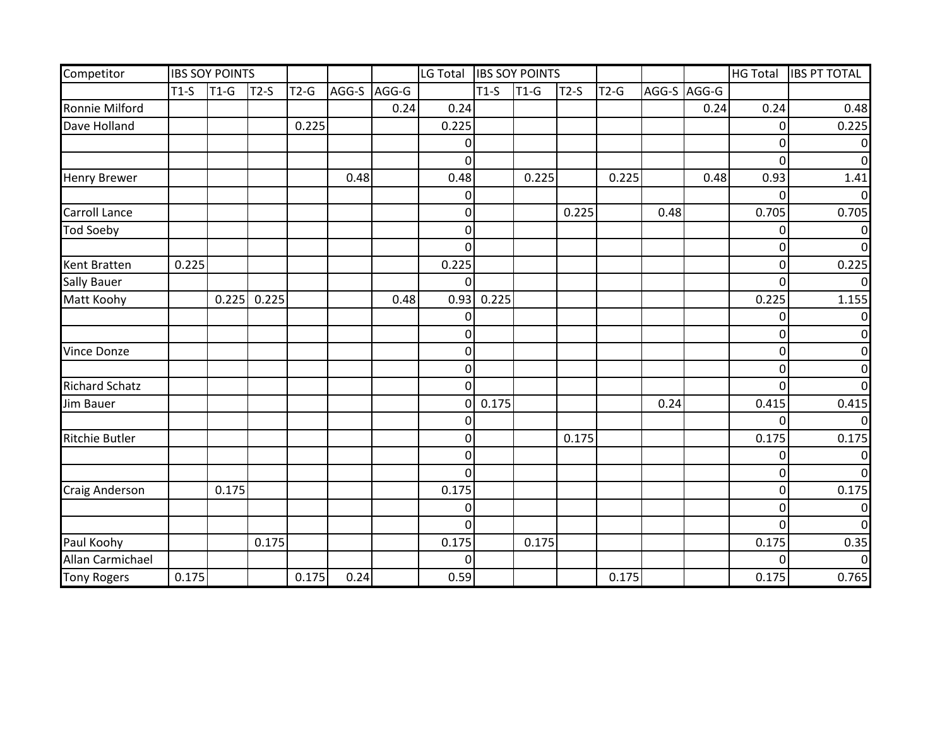| Competitor            |        | <b>IBS SOY POINTS</b> |        |        |       |       | LG Total IBS SOY POINTS |        |        |        |        |      |             |                | HG Total  IBS PT TOTAL |
|-----------------------|--------|-----------------------|--------|--------|-------|-------|-------------------------|--------|--------|--------|--------|------|-------------|----------------|------------------------|
|                       | $T1-S$ | $T1-G$                | $T2-S$ | $T2-G$ | AGG-S | AGG-G |                         | $T1-S$ | $T1-G$ | $T2-S$ | $T2-G$ |      | AGG-S AGG-G |                |                        |
| <b>Ronnie Milford</b> |        |                       |        |        |       | 0.24  | 0.24                    |        |        |        |        |      | 0.24        | 0.24           | 0.48                   |
| Dave Holland          |        |                       |        | 0.225  |       |       | 0.225                   |        |        |        |        |      |             | 0              | 0.225                  |
|                       |        |                       |        |        |       |       | 0                       |        |        |        |        |      |             | 0              |                        |
|                       |        |                       |        |        |       |       | $\overline{0}$          |        |        |        |        |      |             | $\overline{0}$ |                        |
| <b>Henry Brewer</b>   |        |                       |        |        | 0.48  |       | 0.48                    |        | 0.225  |        | 0.225  |      | 0.48        | 0.93           | 1.41                   |
|                       |        |                       |        |        |       |       | 0                       |        |        |        |        |      |             | $\Omega$       |                        |
| <b>Carroll Lance</b>  |        |                       |        |        |       |       | 0                       |        |        | 0.225  |        | 0.48 |             | 0.705          | 0.705                  |
| <b>Tod Soeby</b>      |        |                       |        |        |       |       | 0                       |        |        |        |        |      |             | 0              | 0                      |
|                       |        |                       |        |        |       |       | 0                       |        |        |        |        |      |             | 0              | ∩                      |
| <b>Kent Bratten</b>   | 0.225  |                       |        |        |       |       | 0.225                   |        |        |        |        |      |             | 0              | 0.225                  |
| <b>Sally Bauer</b>    |        |                       |        |        |       |       | 0                       |        |        |        |        |      |             | $\Omega$       |                        |
| Matt Koohy            |        | 0.225                 | 0.225  |        |       | 0.48  | 0.93                    | 0.225  |        |        |        |      |             | 0.225          | 1.155                  |
|                       |        |                       |        |        |       |       | 0                       |        |        |        |        |      |             | 0              |                        |
|                       |        |                       |        |        |       |       | 0                       |        |        |        |        |      |             | 0              |                        |
| <b>Vince Donze</b>    |        |                       |        |        |       |       | 0                       |        |        |        |        |      |             | 0              |                        |
|                       |        |                       |        |        |       |       | 0                       |        |        |        |        |      |             | 0              |                        |
| <b>Richard Schatz</b> |        |                       |        |        |       |       | 0                       |        |        |        |        |      |             | 0              |                        |
| Jim Bauer             |        |                       |        |        |       |       | 0                       | 0.175  |        |        |        | 0.24 |             | 0.415          | 0.415                  |
|                       |        |                       |        |        |       |       | 0                       |        |        |        |        |      |             | 0              |                        |
| <b>Ritchie Butler</b> |        |                       |        |        |       |       | 0                       |        |        | 0.175  |        |      |             | 0.175          | 0.175                  |
|                       |        |                       |        |        |       |       | $\overline{0}$          |        |        |        |        |      |             | 0              |                        |
|                       |        |                       |        |        |       |       | $\overline{0}$          |        |        |        |        |      |             | 0              | $\Omega$               |
| <b>Craig Anderson</b> |        | 0.175                 |        |        |       |       | 0.175                   |        |        |        |        |      |             | $\overline{0}$ | 0.175                  |
|                       |        |                       |        |        |       |       | 0                       |        |        |        |        |      |             | $\mathbf 0$    | 0                      |
|                       |        |                       |        |        |       |       | 0                       |        |        |        |        |      |             | $\overline{0}$ | $\Omega$               |
| Paul Koohy            |        |                       | 0.175  |        |       |       | 0.175                   |        | 0.175  |        |        |      |             | 0.175          | 0.35                   |
| Allan Carmichael      |        |                       |        |        |       |       | 0                       |        |        |        |        |      |             | $\Omega$       |                        |
| <b>Tony Rogers</b>    | 0.175  |                       |        | 0.175  | 0.24  |       | 0.59                    |        |        |        | 0.175  |      |             | 0.175          | 0.765                  |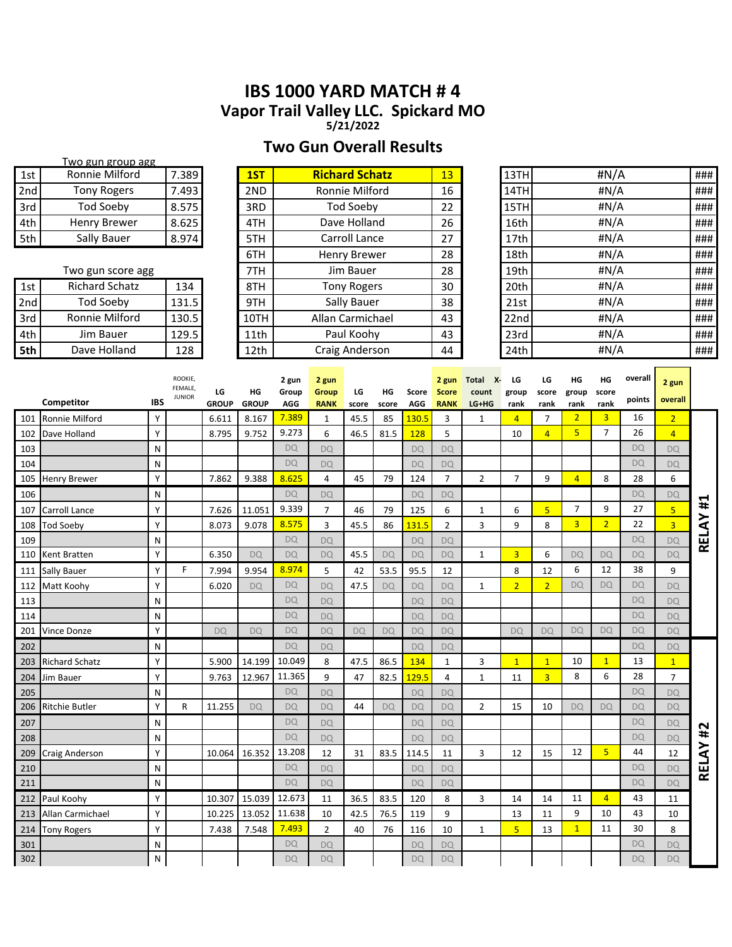# **IBS 1000 YARD MATCH # 4 Vapor Trail Valley LLC. Spickard MO**

**5/21/2022**

# **Two Gun Overall Results**

|     | Two gun group agg     |       |      |                       |    |      |         |     |
|-----|-----------------------|-------|------|-----------------------|----|------|---------|-----|
| 1st | Ronnie Milford        | 7.389 | 1ST  | <b>Richard Schatz</b> | 13 | 13TH | #N/A    | ### |
| 2nd | <b>Tony Rogers</b>    | 7.493 | 2ND  | Ronnie Milford        | 16 | 14TH | #N/A    | ### |
| 3rd | Tod Soeby             | 8.575 | 3RD  | <b>Tod Soeby</b>      | 22 | 15TH | # $N/A$ | ### |
| 4th | Henry Brewer          | 8.625 | 4TH  | Dave Holland          | 26 | 16th | #N/A    | ### |
| 5th | Sally Bauer           | 8.974 | 5TH  | Carroll Lance         | 27 | 17th | #N/A    | ### |
|     |                       |       | 6TH  | Henry Brewer          | 28 | 18th | #N/A    | ### |
|     | Two gun score agg     |       | 7TH  | Jim Bauer             | 28 | 19th | #N/A    | ### |
| 1st | <b>Richard Schatz</b> | 134   | 8TH  | <b>Tony Rogers</b>    | 30 | 20th | # $N/A$ | ### |
| 2nd | Tod Soeby             | 131.5 | 9TH  | Sally Bauer           | 38 | 21st | #N/A    | ### |
| 3rd | Ronnie Milford        | 130.5 | 10TH | Allan Carmichael      | 43 | 22nd | # $N/A$ | ### |
| 4th | Jim Bauer             | 129.5 | 11th | Paul Koohy            | 43 | 23rd | #N/A    | ### |
| 5th | Dave Holland          | 128   | 12th | Craig Anderson        | 44 | 24th | #N/A    | ### |

**5th** Dave Holland | 128 | 12th | Craig Anderson | 44 | 24th | #N/A | ###

|     | Competitor            | <b>IBS</b> | ROOKIE,<br>FEMALE,<br><b>JUNIOR</b> | LG<br><b>GROUP</b> | HG<br><b>GROUP</b> | 2 gun<br>Group<br>AGG | 2 gun<br>Group<br><b>RANK</b> | LG<br>score | ΗG<br>score | Score<br>AGG | 2 gun<br><b>Score</b><br><b>RANK</b> | Total X-<br>count<br>LG+HG | LG<br>group<br>rank | LG<br>score<br>rank | HG<br>group<br>rank | HG<br>score<br>rank | overall<br>points | 2 gun<br>overall |       |
|-----|-----------------------|------------|-------------------------------------|--------------------|--------------------|-----------------------|-------------------------------|-------------|-------------|--------------|--------------------------------------|----------------------------|---------------------|---------------------|---------------------|---------------------|-------------------|------------------|-------|
| 101 | Ronnie Milford        | Y          |                                     | 6.611              | 8.167              | 7.389                 | 1                             | 45.5        | 85          | 130.5        | 3                                    | 1                          | $\overline{4}$      | 7                   | $\overline{2}$      | $\overline{3}$      | 16                | $\overline{2}$   |       |
| 102 | Dave Holland          | Y          |                                     | 8.795              | 9.752              | 9.273                 | 6                             | 46.5        | 81.5        | 128          | 5                                    |                            | 10                  | $\overline{4}$      | 5                   | $\overline{7}$      | 26                | $\overline{4}$   |       |
| 103 |                       | N          |                                     |                    |                    | <b>DQ</b>             | DO                            |             |             | <b>DQ</b>    | <b>DO</b>                            |                            |                     |                     |                     |                     | <b>DQ</b>         | <b>DQ</b>        |       |
| 104 |                       | N          |                                     |                    |                    | <b>DQ</b>             | DO                            |             |             | <b>DQ</b>    | <b>DQ</b>                            |                            |                     |                     |                     |                     | <b>DQ</b>         | DO               |       |
| 105 | <b>Henry Brewer</b>   | Y          |                                     | 7.862              | 9.388              | 8.625                 | 4                             | 45          | 79          | 124          | $\overline{7}$                       | $\overline{2}$             | 7                   | 9                   | $\overline{4}$      | 8                   | 28                | 6                |       |
| 106 |                       | N          |                                     |                    |                    | <b>DQ</b>             | <b>DQ</b>                     |             |             | DQ           | <b>DQ</b>                            |                            |                     |                     |                     |                     | <b>DQ</b>         | DQ               |       |
| 107 | <b>Carroll Lance</b>  | Y          |                                     | 7.626              | 11.051             | 9.339                 | $\overline{7}$                | 46          | 79          | 125          | 6                                    | 1                          | 6                   | 5 <sub>5</sub>      | $\overline{7}$      | 9                   | 27                | $\overline{5}$   | #1    |
| 108 | <b>Tod Soeby</b>      | Y          |                                     | 8.073              | 9.078              | 8.575                 | 3                             | 45.5        | 86          | 131.5        | $\overline{2}$                       | 3                          | 9                   | 8                   | $\overline{3}$      | $\overline{2}$      | 22                | $\overline{3}$   | RELAY |
| 109 |                       | N          |                                     |                    |                    | DQ                    | <b>DQ</b>                     |             |             | <b>DQ</b>    | <b>DQ</b>                            |                            |                     |                     |                     |                     | <b>DQ</b>         | <b>DQ</b>        |       |
| 110 | <b>Kent Bratten</b>   | Y          |                                     | 6.350              | DO                 | <b>DQ</b>             | DO                            | 45.5        | <b>DQ</b>   | <b>DQ</b>    | <b>DO</b>                            | $\mathbf{1}$               | $\overline{3}$      | 6                   | DO                  | DO                  | <b>DQ</b>         | <b>DQ</b>        |       |
| 111 | <b>Sally Bauer</b>    | Y          | F.                                  | 7.994              | 9.954              | 8.974                 | 5                             | 42          | 53.5        | 95.5         | 12                                   |                            | 8                   | 12                  | 6                   | 12                  | 38                | 9                |       |
| 112 | Matt Koohy            | Y          |                                     | 6.020              | <b>DQ</b>          | DQ                    | <b>DQ</b>                     | 47.5        | DQ          | <b>DQ</b>    | <b>DQ</b>                            | 1                          | $\overline{2}$      | $\overline{2}$      | <b>DQ</b>           | <b>DQ</b>           | <b>DQ</b>         | <b>DQ</b>        |       |
| 113 |                       | N          |                                     |                    |                    | DQ                    | <b>DQ</b>                     |             |             | <b>DQ</b>    | <b>DQ</b>                            |                            |                     |                     |                     |                     | <b>DQ</b>         | <b>DQ</b>        |       |
| 114 |                       | N          |                                     |                    |                    | DO                    | DO                            |             |             | DO           | DO                                   |                            |                     |                     |                     |                     | <b>DQ</b>         | DO               |       |
| 201 | Vince Donze           | Y          |                                     | <b>DQ</b>          | <b>DQ</b>          | <b>DQ</b>             | <b>DQ</b>                     | <b>DQ</b>   | <b>DQ</b>   | <b>DQ</b>    | <b>DQ</b>                            |                            | <b>DQ</b>           | <b>DQ</b>           | <b>DQ</b>           | <b>DQ</b>           | <b>DQ</b>         | <b>DQ</b>        |       |
| 202 |                       | N          |                                     |                    |                    | <b>DQ</b>             | <b>DQ</b>                     |             |             | <b>DQ</b>    | <b>DQ</b>                            |                            |                     |                     |                     |                     | <b>DQ</b>         | <b>DQ</b>        |       |
| 203 | <b>Richard Schatz</b> | Y          |                                     | 5.900              | 14.199             | 10.049                | 8                             | 47.5        | 86.5        | 134          | $\mathbf{1}$                         | 3                          | $\mathbf{1}$        | $\mathbf{1}$        | 10                  | $\mathbf{1}$        | 13                | $\overline{1}$   |       |
| 204 | Jim Bauer             | Y          |                                     | 9.763              | 12.967             | 11.365                | 9                             | 47          | 82.5        | 129.5        | $\overline{4}$                       | $\mathbf{1}$               | 11                  | 3                   | 8                   | 6                   | 28                | $\overline{7}$   |       |
| 205 |                       | N          |                                     |                    |                    | <b>DQ</b>             | <b>DQ</b>                     |             |             | <b>DQ</b>    | <b>DQ</b>                            |                            |                     |                     |                     |                     | <b>DQ</b>         | <b>DQ</b>        |       |
| 206 | <b>Ritchie Butler</b> | Y          | R                                   | 11.255             | DO                 | <b>DQ</b>             | <b>DQ</b>                     | 44          | <b>DQ</b>   | <b>DQ</b>    | <b>DQ</b>                            | $\overline{2}$             | 15                  | 10                  | <b>DQ</b>           | DO                  | <b>DQ</b>         | <b>DQ</b>        |       |
| 207 |                       | N          |                                     |                    |                    | DQ                    | <b>DQ</b>                     |             |             | <b>DQ</b>    | <b>DQ</b>                            |                            |                     |                     |                     |                     | <b>DQ</b>         | <b>DQ</b>        | #2    |
| 208 |                       | N          |                                     |                    |                    | <b>DQ</b>             | <b>DQ</b>                     |             |             | <b>DQ</b>    | DQ                                   |                            |                     |                     |                     |                     | <b>DQ</b>         | <b>DQ</b>        |       |
| 209 | Craig Anderson        | Y          |                                     | 10.064             | 16.352             | 13.208                | 12                            | 31          | 83.5        | 114.5        | 11                                   | 3                          | 12                  | 15                  | 12                  | 5                   | 44                | 12               | RELAY |
| 210 |                       | N          |                                     |                    |                    | <b>DQ</b>             | <b>DQ</b>                     |             |             | <b>DQ</b>    | <b>DQ</b>                            |                            |                     |                     |                     |                     | <b>DQ</b>         | <b>DQ</b>        |       |
| 211 |                       | N          |                                     |                    |                    | DO                    | <b>DQ</b>                     |             |             | <b>DQ</b>    | <b>DQ</b>                            |                            |                     |                     |                     |                     | DO                | <b>DQ</b>        |       |
| 212 | Paul Koohy            | Y          |                                     | 10.307             | 15.039             | 12.673                | 11                            | 36.5        | 83.5        | 120          | 8                                    | 3                          | 14                  | 14                  | 11                  | $\overline{4}$      | 43                | 11               |       |
| 213 | Allan Carmichael      | Y          |                                     | 10.225             | 13.052             | 11.638                | 10                            | 42.5        | 76.5        | 119          | 9                                    |                            | 13                  | 11                  | 9                   | 10                  | 43                | 10               |       |
| 214 | <b>Tony Rogers</b>    | Y          |                                     | 7.438              | 7.548              | 7.493                 | 2                             | 40          | 76          | 116          | 10                                   | $\mathbf{1}$               | 5                   | 13                  | 1                   | 11                  | 30                | 8                |       |
| 301 |                       | N          |                                     |                    |                    | <b>DQ</b>             | DO                            |             |             | DO           | <b>DQ</b>                            |                            |                     |                     |                     |                     | DO                | DO               |       |
| 302 |                       | N          |                                     |                    |                    | DQ                    | <b>DQ</b>                     |             |             | <b>DQ</b>    | <b>DQ</b>                            |                            |                     |                     |                     |                     | <b>DQ</b>         | <b>DQ</b>        |       |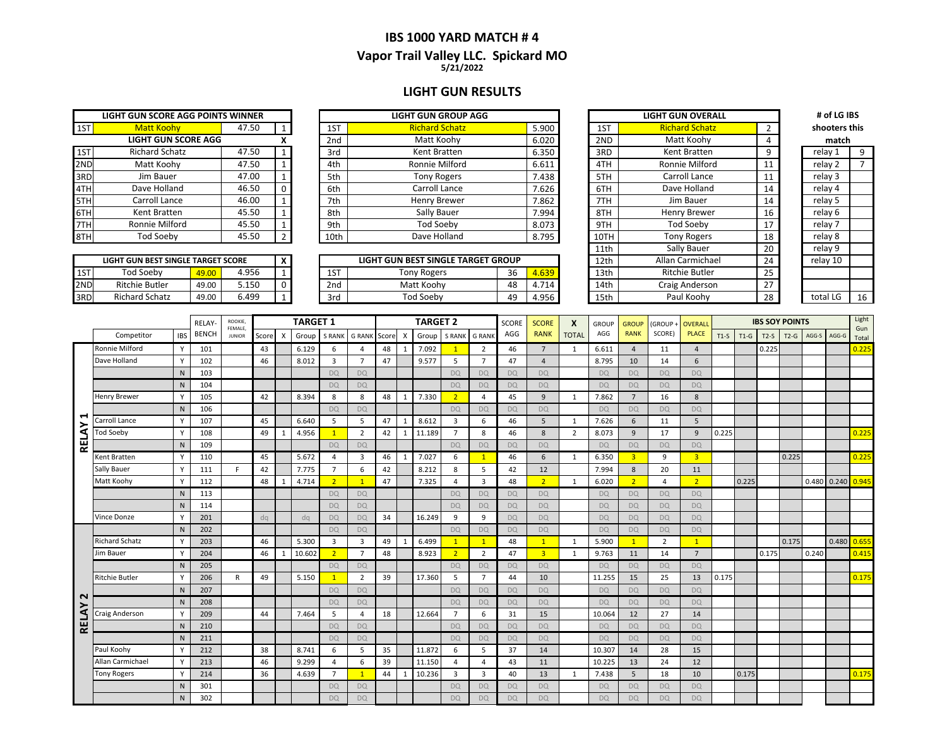### **IBS 1000 YARD MATCH # 4 5/21/2022 Vapor Trail Valley LLC. Spickard MO**

#### **LIGHT GUN RESULTS**

|                       |       |                                                                 |                 | <b>LIGHT GUN GROUP AGG</b> |
|-----------------------|-------|-----------------------------------------------------------------|-----------------|----------------------------|
| <b>Matt Koohy</b>     | 47.50 | $\mathbf{1}$                                                    | 1ST             | <b>Richard Schatz</b>      |
|                       |       | x                                                               | 2 <sub>nd</sub> | Matt Koohy                 |
| <b>Richard Schatz</b> | 47.50 | $\mathbf{1}$                                                    | 3rd             | Kent Bratten               |
| Matt Koohy            | 47.50 | 1                                                               | 4th             | Ronnie Milford             |
| Jim Bauer             | 47.00 | $\mathbf{1}$                                                    | 5th             | <b>Tony Rogers</b>         |
| Dave Holland          | 46.50 | $\Omega$                                                        | 6th             | Carroll Lance              |
| Carroll Lance         | 46.00 | $\mathbf{1}$                                                    | 7th             | <b>Henry Brewer</b>        |
| Kent Bratten          | 45.50 | $\mathbf{1}$                                                    | 8th             | Sally Bauer                |
| Ronnie Milford        | 45.50 | $\mathbf{1}$                                                    | 9th             | Tod Soeby                  |
| <b>Tod Soeby</b>      | 45.50 | $\overline{2}$                                                  | 10th            | Dave Holland               |
|                       |       | LIGHT GUN SCORE AGG POINTS WINNER<br><b>LIGHT GUN SCORE AGG</b> |                 |                            |

|      | LIGHT GUN BEST SINGLE TARGET SCORE |       |       | v |
|------|------------------------------------|-------|-------|---|
| 11ST | <b>Tod Soebv</b>                   | 49.00 | 4.956 |   |
| 2ND  | <b>Ritchie Butler</b>              | 49.00 | 5.150 |   |
|      | <b>Richard Schatz</b>              | 49.NO | 6.499 |   |

|     | LIGHT GUN SCORE AGG POINTS WINNER |       |  |                 | <b>LIGHT GUN GROUP AGG</b> |       |      | <b>LIGHT GUN OVERALL</b> |    | # of LG IBS        |  |
|-----|-----------------------------------|-------|--|-----------------|----------------------------|-------|------|--------------------------|----|--------------------|--|
| 1ST | <b>Matt Koohv</b>                 | 47.50 |  | 1ST             | <b>Richard Schatz</b>      | 5.900 | 1ST  | <b>Richard Schatz</b>    |    | shooters this      |  |
|     | <b>LIGHT GUN SCORE AGG</b>        |       |  | 2 <sub>nd</sub> | Matt Koohy                 | 6.020 | 2ND  | Matt Koohy               |    | match              |  |
| 1ST | <b>Richard Schatz</b>             | 47.50 |  | 3rd             | Kent Bratten               | 6.350 | 3RD  | Kent Bratten             |    | relay 1            |  |
| 2ND | Matt Koohy                        | 47.50 |  | 4th             | Ronnie Milford             | 6.611 | 4TH  | Ronnie Milford           |    | relay 2            |  |
| 3RD | Jim Bauer                         | 47.00 |  | 5th             | <b>Tony Rogers</b>         | 7.438 | 5TH  | Carroll Lance            |    | relay 3            |  |
| 4TH | Dave Holland                      | 46.50 |  | 6th             | Carroll Lance              | 7.626 | 6TH  | Dave Holland             | 14 | relay 4            |  |
| 5TH | Carroll Lance                     | 46.00 |  | 7th             | Henry Brewer               | 7.862 | 7TH  | Jim Bauer                | 14 | relay 5            |  |
| 6TH | Kent Bratten                      | 45.50 |  | 8th             | Sally Bauer                | 7.994 | 8TH  | Henry Brewer             | 16 | relay 6            |  |
| 7TH | Ronnie Milford                    | 45.50 |  | 9th             | <b>Tod Soeby</b>           | 8.073 | 9TH  | Tod Soeby                | 17 | relav <sub>7</sub> |  |
| 8TH | Tod Soeby                         | 45.50 |  | 10th            | Dave Holland               | 8.795 | 10TH | <b>Tony Rogers</b>       | 18 | relay 8            |  |
|     |                                   |       |  |                 |                            |       |      |                          |    |                    |  |

|     | LIGHT GUN BEST SINGLE TARGET SCORE |       |       |  |  |           | LIGHT GUN BEST SINGLE TARGET GROUP |    |       |  | 12th | Allan Carmichael      | $\mathcal{L}$<br>24 | relav 10 |    |
|-----|------------------------------------|-------|-------|--|--|-----------|------------------------------------|----|-------|--|------|-----------------------|---------------------|----------|----|
| 1ST | Tod Soeby                          | 9.00  | 4.956 |  |  | 1CT<br>⊥⊃ | Tony Rogers                        | 36 | 4.639 |  | 13th | <b>Ritchie Butler</b> | <u>_</u>            |          |    |
| 2ND | <b>Ritchie Butler</b>              | 49.00 | 150.د |  |  | 2nd       | Matt Koohv                         | 48 | 4.714 |  | 14th | Craig Anderson        | $\sim$ $-$          |          |    |
| 3RD | <b>Richard Schatz</b>              | 49.00 | 0.499 |  |  | 3rd       | Tod Soeby                          | 49 | 4.956 |  | 15th | l Koohy<br>Pau        |                     | total LG | 16 |

|      | <b>LIGHT GUN OVERALL</b> |                | # of LG IBS   |    |
|------|--------------------------|----------------|---------------|----|
| 1ST  | <b>Richard Schatz</b>    | $\overline{2}$ | shooters this |    |
| 2ND  | Matt Koohy               | 4              | match         |    |
| 3RD  | Kent Bratten             | 9              | relay 1       | 9  |
| 4TH  | Ronnie Milford           | 11             | relay 2       | 7  |
| 5TH  | Carroll Lance            | 11             | relay 3       |    |
| 6TH  | Dave Holland             | 14             | relay 4       |    |
| 7TH  | Jim Bauer                | 14             | relay 5       |    |
| 8TH  | Henry Brewer             | 16             | relay 6       |    |
| 9TH  | <b>Tod Soeby</b>         | 17             | relay 7       |    |
| 10TH | <b>Tony Rogers</b>       | 18             | relay 8       |    |
| 11th | Sally Bauer              | 20             | relay 9       |    |
| 12th | Allan Carmichael         | 24             | relay 10      |    |
| 13th | <b>Ritchie Butler</b>    | 25             |               |    |
| 14th | Craig Anderson           | 27             |               |    |
| 15th | Paul Koohv               | 28             | total LG      | 16 |

| shooters this      |    |
|--------------------|----|
| match              |    |
| relay 1            | 9  |
| relay 2            | 7  |
| relay 3            |    |
| relay 4            |    |
| relay 5            |    |
| relay <sub>6</sub> |    |
| relay 7            |    |
| relay 8            |    |
| relay 9            |    |
| relay 10           |    |
|                    |    |
|                    |    |
| total LG           | 16 |
|                    |    |

**# of LG IBS** 

|                   |                       |            | <b>RELAY</b> | ROOKIE,                  |       |   | <b>TARGET 1</b> |                |                |       |   | <b>TARGET 2</b> |                |                | <b>SCORE</b> | <b>SCORE</b>   | X            | <b>GROUP</b> | <b>GROUP</b>   | <b>(GROUP</b>  | <b>OVERALL</b> |        |        |        | <b>IBS SOY POINTS</b> |       |                   | Light        |
|-------------------|-----------------------|------------|--------------|--------------------------|-------|---|-----------------|----------------|----------------|-------|---|-----------------|----------------|----------------|--------------|----------------|--------------|--------------|----------------|----------------|----------------|--------|--------|--------|-----------------------|-------|-------------------|--------------|
|                   | Competitor            | <b>IBS</b> | <b>BENCH</b> | FEMALE.<br><b>JUNIOR</b> | Score | X | Group           | <b>S RANK</b>  | <b>G RANK</b>  | Score | X | Group           | S RANK         | <b>G RANK</b>  | AGG          | <b>RANK</b>    | <b>TOTAL</b> | AGG          | <b>RANK</b>    | SCORE)         | <b>PLACE</b>   | $T1-S$ | $T1-G$ | $T2-S$ | $T2-G$                | AGG-S | AGG-G             | Gun<br>Total |
|                   | Ronnie Milford        | Y          | 101          |                          | 43    |   | 6.129           | 6              | 4              | 48    |   | 7.092           | $\mathbf{1}$   | 2              | 46           | $\overline{7}$ | 1            | 6.611        | $\overline{4}$ | 11             | $\overline{4}$ |        |        | 0.225  |                       |       |                   | 0.225        |
|                   | Dave Holland          | Y          | 102          |                          | 46    |   | 8.012           | 3              | $\overline{7}$ | 47    |   | 9.577           | 5              | 7              | 47           | $\overline{4}$ |              | 8.795        | 10             | 14             | 6              |        |        |        |                       |       |                   |              |
|                   |                       | N          | 103          |                          |       |   |                 | <b>DQ</b>      | <b>DO</b>      |       |   |                 | <b>DQ</b>      | DO             | <b>DO</b>    | <b>DQ</b>      |              | DQ           | <b>DO</b>      | <b>DQ</b>      | <b>DQ</b>      |        |        |        |                       |       |                   |              |
|                   |                       | N          | 104          |                          |       |   |                 | <b>DQ</b>      | <b>DQ</b>      |       |   |                 | DQ             | DO             | <b>DO</b>    | DQ             |              | <b>DQ</b>    | <b>DO</b>      | <b>DQ</b>      | <b>DO</b>      |        |        |        |                       |       |                   |              |
|                   | <b>Henry Brewer</b>   | Y          | 105          |                          | 42    |   | 8.394           | 8              | 8              | 48    |   | 7.330           | $\overline{2}$ | 4              | 45           | 9              | -1           | 7.862        | $\overline{7}$ | 16             | 8              |        |        |        |                       |       |                   |              |
| ⊣                 |                       | N          | 106          |                          |       |   |                 | <b>DQ</b>      | <b>DQ</b>      |       |   |                 | <b>DQ</b>      | <b>DQ</b>      | <b>DQ</b>    | <b>DQ</b>      |              | <b>DQ</b>    | <b>DQ</b>      | <b>DQ</b>      | <b>DQ</b>      |        |        |        |                       |       |                   |              |
| ≻                 | Carroll Lance         | Y          | 107          |                          | 45    |   | 6.640           | 5              | 5              | 47    |   | 8.612           | 3              | 6              | 46           | 5              | 1            | 7.626        | 6              | 11             | 5              |        |        |        |                       |       |                   |              |
| <b>RELA</b>       | <b>Tod Soeby</b>      | Y          | 108          |                          | 49    |   | 4.956           | $\mathbf{1}$   | $\overline{2}$ | 42    |   | 11.189          | $\overline{7}$ | 8              | 46           | 8              | 2            | 8.073        | 9              | 17             | $\overline{9}$ | 0.225  |        |        |                       |       |                   | 0.225        |
|                   |                       | N          | 109          |                          |       |   |                 | <b>DQ</b>      | <b>DO</b>      |       |   |                 | <b>DQ</b>      | <b>DO</b>      | <b>DQ</b>    | <b>DQ</b>      |              | <b>DQ</b>    | <b>DQ</b>      | <b>DQ</b>      | <b>DQ</b>      |        |        |        |                       |       |                   |              |
|                   | Kent Bratten          | Y          | 110          |                          | 45    |   | 5.672           | 4              | 3              | 46    |   | 7.027           | 6              | $\mathbf{1}$   | 46           | 6              | 1            | 6.350        | $\overline{3}$ | 9              | $\overline{3}$ |        |        |        | 0.225                 |       |                   | 0.225        |
|                   | Sally Bauer           | Y          | 111          | F.                       | 42    |   | 7.775           | $\overline{7}$ | 6              | 42    |   | 8.212           | 8              | 5              | 42           | 12             |              | 7.994        | 8              | 20             | 11             |        |        |        |                       |       |                   |              |
|                   | Matt Koohy            |            | 112          |                          | 48    |   | 4.714           | $\overline{2}$ | $\mathbf{1}$   | 47    |   | 7.325           | $\Delta$       | $\overline{3}$ | 48           | $\overline{2}$ | 1            | 6.020        | $\overline{2}$ | 4              | 2 <sup>1</sup> |        | 0.225  |        |                       |       | 0.480 0.240 0.945 |              |
|                   |                       | N          | 113          |                          |       |   |                 | <b>DQ</b>      | DQ             |       |   |                 | DQ             | DO             | <b>DQ</b>    | <b>DQ</b>      |              | <b>DQ</b>    | DO.            | <b>DQ</b>      | <b>DQ</b>      |        |        |        |                       |       |                   |              |
|                   |                       | N          | 114          |                          |       |   |                 | <b>DQ</b>      | <b>DO</b>      |       |   |                 | <b>DQ</b>      | <b>DO</b>      | <b>DQ</b>    | <b>DQ</b>      |              | <b>DQ</b>    | <b>DO</b>      | <b>DQ</b>      | <b>DO</b>      |        |        |        |                       |       |                   |              |
|                   | Vince Donze           |            | 201          |                          | dq    |   | dq              | <b>DQ</b>      | <b>DQ</b>      | 34    |   | 16.249          | 9              | 9              | <b>DQ</b>    | <b>DQ</b>      |              | <b>DQ</b>    | <b>DQ</b>      | <b>DQ</b>      | <b>DQ</b>      |        |        |        |                       |       |                   |              |
|                   |                       | N          | 202          |                          |       |   |                 | <b>DQ</b>      | <b>DQ</b>      |       |   |                 | <b>DQ</b>      | <b>DO</b>      | <b>DQ</b>    | <b>DQ</b>      |              | <b>DQ</b>    | <b>DQ</b>      | <b>DQ</b>      | <b>DQ</b>      |        |        |        |                       |       |                   |              |
|                   | <b>Richard Schatz</b> | Y          | 203          |                          | 46    |   | 5.300           | $\overline{3}$ | 3              | 49    |   | 6.499           | $\mathbf{1}$   | $\mathbf{1}$   | 48           | $\mathbf{1}$   | 1            | 5.900        | $\mathbf{1}$   | $\overline{2}$ | $\overline{1}$ |        |        |        | 0.175                 |       | 0.480             | 0.655        |
|                   | Jim Bauer             |            | 204          |                          | 46    |   | 10.602          | $\overline{2}$ | $\overline{7}$ | 48    |   | 8.923           | $\overline{2}$ | $\overline{2}$ | 47           | $\overline{3}$ |              | 9.763        | 11             | 14             | $\overline{7}$ |        |        | 0.175  |                       | 0.240 |                   | 0.415        |
|                   |                       | N          | 205          |                          |       |   |                 | <b>DQ</b>      | DQ             |       |   |                 | DQ             | <b>DQ</b>      | <b>DQ</b>    | DQ             |              | DQ           | <b>DQ</b>      | <b>DQ</b>      | <b>DQ</b>      |        |        |        |                       |       |                   |              |
|                   | <b>Ritchie Butler</b> | Y          | 206          | R                        | 49    |   | 5.150           | $\mathbf{1}$   | $\overline{2}$ | 39    |   | 17.360          | 5              | $\overline{7}$ | 44           | 10             |              | 11.255       | 15             | 25             | 13             | 0.175  |        |        |                       |       |                   | 0.175        |
| $\mathbf{\Omega}$ |                       | N          | 207          |                          |       |   |                 | <b>DQ</b>      | <b>DO</b>      |       |   |                 | <b>DQ</b>      | <b>DO</b>      | <b>DO</b>    | <b>DQ</b>      |              | <b>DQ</b>    | <b>DO</b>      | <b>DQ</b>      | <b>DQ</b>      |        |        |        |                       |       |                   |              |
| $\lambda$         |                       | N          | 208          |                          |       |   |                 | <b>DQ</b>      | DQ             |       |   |                 | DQ             | DO             | <b>DO</b>    | <b>DQ</b>      |              | DQ           | <b>DO</b>      | <b>DQ</b>      | <b>DQ</b>      |        |        |        |                       |       |                   |              |
|                   | Craig Anderson        | Y          | 209          |                          | 44    |   | 7.464           | 5              | 4              | 18    |   | 12.664          | $\overline{7}$ | 6              | 31           | 15             |              | 10.064       | 12             | 27             | 14             |        |        |        |                       |       |                   |              |
| <b>REL</b>        |                       | N          | 210          |                          |       |   |                 | <b>DQ</b>      | <b>DQ</b>      |       |   |                 | DQ             | <b>DO</b>      | <b>DQ</b>    | <b>DQ</b>      |              | <b>DQ</b>    | <b>DQ</b>      | <b>DQ</b>      | <b>DQ</b>      |        |        |        |                       |       |                   |              |
|                   |                       | N          | 211          |                          |       |   |                 | <b>DQ</b>      | DQ             |       |   |                 | <b>DQ</b>      | <b>DQ</b>      | <b>DQ</b>    | <b>DQ</b>      |              | <b>DQ</b>    | <b>DQ</b>      | <b>DQ</b>      | <b>DQ</b>      |        |        |        |                       |       |                   |              |
|                   | Paul Koohy            | Y          | 212          |                          | 38    |   | 8.741           | 6              | 5              | 35    |   | 11.872          | 6              | 5              | 37           | 14             |              | 10.307       | 14             | 28             | 15             |        |        |        |                       |       |                   |              |
|                   | Allan Carmichael      | Y          | 213          |                          | 46    |   | 9.299           | $\overline{4}$ | 6              | 39    |   | 11.150          | 4              | $\overline{4}$ | 43           | 11             |              | 10.225       | 13             | 24             | 12             |        |        |        |                       |       |                   |              |
|                   | <b>Tony Rogers</b>    | Y          | 214          |                          | 36    |   | 4.639           | $\overline{7}$ | $\mathbf{1}$   | 44    |   | 10.236          | 3              | 3              | 40           | 13             | 1            | 7.438        | 5              | 18             | 10             |        | 0.175  |        |                       |       |                   | 0.175        |
|                   |                       | N          | 301          |                          |       |   |                 | <b>DQ</b>      | <b>DQ</b>      |       |   |                 | DQ             | <b>DQ</b>      | <b>DQ</b>    | <b>DQ</b>      |              | DQ           | <b>DQ</b>      | <b>DQ</b>      | <b>DQ</b>      |        |        |        |                       |       |                   |              |
|                   |                       | N          | 302          |                          |       |   |                 | <b>DQ</b>      | <b>DQ</b>      |       |   |                 | <b>DQ</b>      | <b>DO</b>      | <b>DQ</b>    | <b>DQ</b>      |              | <b>DO</b>    | <b>DQ</b>      | <b>DQ</b>      | <b>DO</b>      |        |        |        |                       |       |                   |              |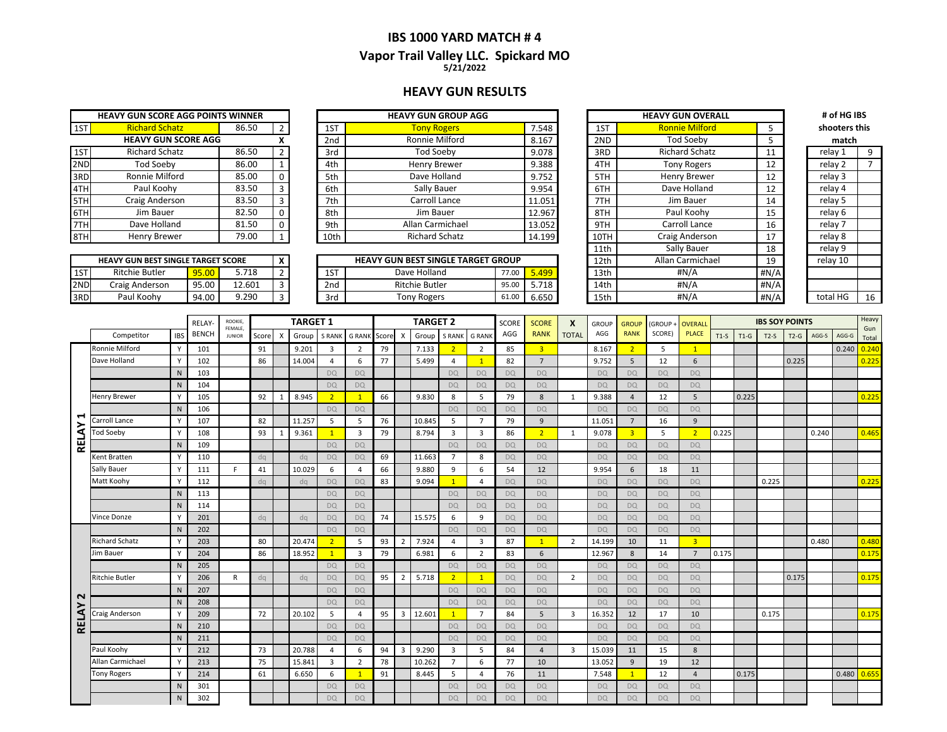### **IBS 1000 YARD MATCH # 4 Vapor Trail Valley LLC. Spickard MO 5/21/2022**

#### **HEAVY GUN RESULTS**

|     | <b>HEAVY GUN SCORE AGG POINTS WINNER</b> |       |                |
|-----|------------------------------------------|-------|----------------|
| 1ST | <b>Richard Schatz</b>                    | 86.50 | 2              |
|     | <b>HEAVY GUN SCORE AGG</b>               |       | x              |
| 1ST | <b>Richard Schatz</b>                    | 86.50 | $\overline{2}$ |
| 2ND | <b>Tod Soeby</b>                         | 86.00 | $\mathbf{1}$   |
| 3RD | Ronnie Milford                           | 85.00 | 0              |
| 4TH | Paul Koohy                               | 83.50 | 3              |
| 5TH | Craig Anderson                           | 83.50 | $\mathbf{a}$   |
| 6TH | Jim Bauer                                | 82.50 | O              |
| 7TH | Dave Holland                             | 81.50 | ŋ              |
|     | Henry Brewer                             | 79.00 | 1              |

|       | <b>HEAVY GUN BEST SINGLE TARGET SCORE</b> |       |        |  |
|-------|-------------------------------------------|-------|--------|--|
| 1ST   | <b>Ritchie Butler</b>                     | 95.00 | 5.718  |  |
| 2ND   | Craig Anderson                            | 95.00 | 12.601 |  |
| I3RD. | Paul Koohv                                | 94.00 | 9 290  |  |

|     | <b>HEAVY GUN SCORE AGG POINTS WINNER</b> |       |          |                 | <b>HEAVY GUN GROUP AGG</b> |        |      | <b>HEAVY GUN OVERALL</b> |    | # of HG IBS   |  |
|-----|------------------------------------------|-------|----------|-----------------|----------------------------|--------|------|--------------------------|----|---------------|--|
| 1ST | <b>Richard Schatz</b>                    | 86.50 |          | 1ST             | <b>Tony Rogers</b>         | 7.548  | 1ST  | <b>Ronnie Milford</b>    |    | shooters this |  |
|     | <b>HEAVY GUN SCORE AGG</b>               |       |          | 2 <sub>nd</sub> | Ronnie Milford             | 8.167  | 2ND  | <b>Tod Soeby</b>         |    | match         |  |
| 1ST | Richard Schatz                           | 86.50 |          | 3rd             | Tod Soeby                  | 9.078  | 3RD  | <b>Richard Schatz</b>    | 11 | relay 1       |  |
| 2ND | Tod Soeby                                | 86.00 |          | 4th             | Henry Brewer               | 9.388  | 4TH  | <b>Tony Rogers</b>       | 12 | relay 2       |  |
| 3RD | Ronnie Milford                           | 85.00 | $\Omega$ | 5th             | Dave Holland               | 9.752  | 5TH  | Henry Brewer             | 12 | relay 3       |  |
| 4TH | Paul Koohy                               | 83.50 |          | 6th             | Sally Bauer                | 9.954  | 6TH  | Dave Holland             | 12 | relay 4       |  |
| 5TH | Craig Anderson                           | 83.50 |          | 7th             | Carroll Lance              | 11.051 | 7TH  | Jim Bauer                | 14 | relay 5       |  |
| 6TH | Jim Bauer                                | 82.50 | $\Omega$ | 8th             | Jim Bauer                  | 12.967 | 8TH  | Paul Koohy               | 15 | relay 6       |  |
| 7TH | Dave Holland                             | 81.50 | $\Omega$ | 9th             | Allan Carmichael           | 13.052 | 9TH  | Carroll Lance            | 16 | relav 7       |  |
| 8TH | Henry Brewer                             | 79.00 |          | 10th            | <b>Richard Schatz</b>      | 14.199 | 10TH | Craig Anderson           | 17 | relay 8       |  |
|     |                                          |       |          |                 |                            |        |      |                          |    |               |  |

|     | <b>HEAVY GUN BEST SINGLE TARGET SCORE</b> |              |        |  |  |     | <b>HEAVY GUN BEST SINGLE TARGET GROUP</b> |       |       | 12th | Allan Carmichael | 10    | relav 10 |    |
|-----|-------------------------------------------|--------------|--------|--|--|-----|-------------------------------------------|-------|-------|------|------------------|-------|----------|----|
| 1ST | <b>Ritchie Butler</b>                     | <b>95.00</b> | ,718   |  |  | 1ST | Dave Holland                              | 77.00 | 5.499 | 13th | #N/A             | #N/A  |          |    |
| 2ND | : Anderson<br>Craig                       | 95.00        | 12.601 |  |  | 2nd | <b>Ritchie Butler</b>                     | 95.00 | 5.718 | 14th | #N/A             | H N/A |          |    |
| 3RD | Paul Koohy                                | 94.00        | 9.290  |  |  | 3rd | <b>Tony Rogers</b>                        | 61.L  | 6.650 | 15th | #N/A             | #N/A  | total HG | 16 |

| <b>HEAVY GUN GROUP AGG</b>          |       |        |                  | <b>HEAVY GUN OVERALL</b> |      | # of HG IBS   |    |  |  |
|-------------------------------------|-------|--------|------------------|--------------------------|------|---------------|----|--|--|
| <b>Tony Rogers</b>                  |       | 7.548  | 1ST              | <b>Ronnie Milford</b>    | 5    | shooters this |    |  |  |
| Ronnie Milford                      |       | 8.167  | 2ND              | <b>Tod Soeby</b>         | 5    | match         |    |  |  |
| Tod Soeby                           |       | 9.078  | 3RD              | <b>Richard Schatz</b>    | 11   | relay 1       | 9  |  |  |
| Henry Brewer                        |       | 9.388  | 4TH              | <b>Tony Rogers</b>       | 12   | relay 2       | 7  |  |  |
| Dave Holland                        |       | 9.752  | 5TH              | Henry Brewer             | 12   | relay 3       |    |  |  |
| Sally Bauer                         |       | 9.954  | 6TH              | Dave Holland             | 12   | relay 4       |    |  |  |
| Carroll Lance                       |       | 11.051 | 7TH              | Jim Bauer                | 14   | relay 5       |    |  |  |
| Jim Bauer                           |       | 12.967 | 8TH              | Paul Koohy               | 15   | relay 6       |    |  |  |
| Allan Carmichael                    |       | 13.052 | 9TH              | Carroll Lance            | 16   | relay 7       |    |  |  |
| <b>Richard Schatz</b>               |       | 14.199 | 10TH             | Craig Anderson           | 17   | relay 8       |    |  |  |
|                                     |       |        | 11th             | Sally Bauer              | 18   | relay 9       |    |  |  |
| <b>GUN BEST SINGLE TARGET GROUP</b> |       |        | 12 <sub>th</sub> | Allan Carmichael         | 19   | relay 10      |    |  |  |
| Dave Holland                        | 77.00 | 5.499  | 13 <sub>th</sub> | #N/A                     | #N/A |               |    |  |  |
| <b>Ritchie Butler</b>               | 95.00 | 5.718  | 14th             | #N/A                     | #N/A |               |    |  |  |
| <b>Tony Rogers</b>                  | 61.00 | 6.650  | 15th             | #N/A                     | #N/A | total HG      | 1( |  |  |

relay 7 relay 4 relay 1 **match**

|                   |                       |              | RELAY-       | ROOKIE.<br>FEMALE, |       | <b>TARGET 1</b>           |        |                |                         |    | <b>TARGET 2</b>         |        |                | <b>SCORE</b>   | <b>SCORE</b> | X              | <b>GROUP</b>   | <b>GROUP</b> | <b>GROUP</b>   | <b>OVERALI</b> |                |        | <b>IBS SOY POINTS</b> |        |        |       | Heavy         |              |
|-------------------|-----------------------|--------------|--------------|--------------------|-------|---------------------------|--------|----------------|-------------------------|----|-------------------------|--------|----------------|----------------|--------------|----------------|----------------|--------------|----------------|----------------|----------------|--------|-----------------------|--------|--------|-------|---------------|--------------|
|                   | Competitor            | <b>IBS</b>   | <b>BENCH</b> | <b>JUNIOR</b>      | Score | $\boldsymbol{\mathsf{x}}$ | Group  | <b>S RANK</b>  | <b>GRANK</b> Score X    |    |                         | Group  | S RANK         | <b>G RANK</b>  | AGG          | <b>RANK</b>    | <b>TOTAL</b>   | AGG          | <b>RANK</b>    | SCORE)         | <b>PLACE</b>   | $T1-S$ | $T1-G$                | $T2-S$ | $T2-G$ | AGG-S | AGG-G         | Gun<br>Total |
|                   | Ronnie Milford        | Y            | 101          |                    | 91    |                           | 9.201  | $\overline{3}$ | $\overline{2}$          | 79 |                         | 7.133  | 2 <sup>1</sup> | $\overline{2}$ | 85           | $\overline{3}$ |                | 8.167        | $\overline{2}$ | 5              | $\overline{1}$ |        |                       |        |        |       | 0.240         | 0.240        |
|                   | Dave Holland          |              | 102          |                    | 86    |                           | 14.004 | 4              | 6                       | 77 |                         | 5.499  | 4              |                | 82           | $\overline{7}$ |                | 9.752        | 5              | 12             | 6              |        |                       |        | 0.225  |       |               | 0.225        |
|                   |                       | N            | 103          |                    |       |                           |        | <b>DO</b>      | <b>DQ</b>               |    |                         |        | <b>DQ</b>      | <b>DQ</b>      | <b>DQ</b>    | <b>DO</b>      |                | <b>DO</b>    | <b>DQ</b>      | <b>DQ</b>      | <b>DQ</b>      |        |                       |        |        |       |               |              |
|                   |                       | N            | 104          |                    |       |                           |        | <b>DQ</b>      | <b>DQ</b>               |    |                         |        | <b>DQ</b>      | <b>DQ</b>      | <b>DQ</b>    | DQ             |                | <b>DQ</b>    | <b>DQ</b>      | <b>DQ</b>      | <b>DQ</b>      |        |                       |        |        |       |               |              |
|                   | Henry Brewer          |              | 105          |                    | 92    | $\mathbf{1}$              | 8.945  | $\overline{2}$ | $\mathbf{1}$            | 66 |                         | 9.830  | 8              | -5             | 79           | 8              | 1              | 9.388        | $\overline{4}$ | 12             | 5              |        | 0.225                 |        |        |       |               | 0.225        |
|                   |                       | N            | 106          |                    |       |                           |        | <b>DO</b>      | <b>DQ</b>               |    |                         |        | <b>DO</b>      | <b>DQ</b>      | <b>DQ</b>    | <b>DQ</b>      |                | <b>DQ</b>    | <b>DQ</b>      | DQ             | <b>DO</b>      |        |                       |        |        |       |               |              |
| ↤                 | Carroll Lance         | Y            | 107          |                    | 82    |                           | 11.257 | 5              | 5                       | 76 |                         | 10.845 | 5              | $\overline{7}$ | 79           | $\overline{9}$ |                | 11.051       | $\overline{7}$ | 16             | 9              |        |                       |        |        |       |               |              |
|                   | <b>Tod Soeby</b>      | Y            | 108          |                    | 93    |                           | 9.361  | $\mathbf{1}$   | $\overline{\mathbf{3}}$ | 79 |                         | 8.794  | $\overline{3}$ | $\overline{3}$ | 86           | $\overline{2}$ | 1              | 9.078        | $\overline{3}$ | 5              | $\overline{2}$ | 0.225  |                       |        |        | 0.240 |               | 0.465        |
| <b>RELAY</b>      |                       | N            | 109          |                    |       |                           |        | <b>DQ</b>      | <b>DO</b>               |    |                         |        | <b>DQ</b>      | <b>DQ</b>      | <b>DQ</b>    | DQ             |                | <b>DQ</b>    | <b>DQ</b>      | <b>DQ</b>      | DO.            |        |                       |        |        |       |               |              |
|                   | Kent Bratten          | Y            | 110          |                    | dq    |                           | dq     | <b>DQ</b>      | <b>DO</b>               | 69 |                         | 11.663 | $\overline{7}$ | 8              | <b>DQ</b>    | <b>DO</b>      |                | <b>DQ</b>    | <b>DQ</b>      | <b>DQ</b>      | DO.            |        |                       |        |        |       |               |              |
|                   | Sally Bauer           | Y            | 111          | F.                 | 41    |                           | 10.029 | 6              | $\overline{4}$          | 66 |                         | 9.880  | 9              | 6              | 54           | 12             |                | 9.954        | 6              | 18             | 11             |        |                       |        |        |       |               |              |
|                   | Matt Koohy            |              | 112          |                    | dq    |                           | dq     | <b>DQ</b>      | <b>DQ</b>               | 83 |                         | 9.094  | $\mathbf{1}$   | $\overline{4}$ | <b>DQ</b>    | <b>DO</b>      |                | <b>DQ</b>    | <b>DQ</b>      | <b>DQ</b>      | <b>DQ</b>      |        |                       | 0.225  |        |       |               | 0.225        |
|                   |                       | N            | 113          |                    |       |                           |        | <b>DO</b>      | DQ                      |    |                         |        | <b>DQ</b>      | <b>DQ</b>      | <b>DQ</b>    | <b>DO</b>      |                | <b>DO</b>    | <b>DQ</b>      | <b>DQ</b>      | <b>DO</b>      |        |                       |        |        |       |               |              |
|                   |                       | N            | 114          |                    |       |                           |        | <b>DQ</b>      | <b>DQ</b>               |    |                         |        | <b>DQ</b>      | <b>DQ</b>      | <b>DQ</b>    | <b>DQ</b>      |                | <b>DQ</b>    | <b>DQ</b>      | <b>DQ</b>      | <b>DQ</b>      |        |                       |        |        |       |               |              |
|                   | Vince Donze           | <b>V</b>     | 201          |                    | dq    |                           | dq     | <b>DQ</b>      | <b>DQ</b>               | 74 |                         | 15.575 | 6              | 9              | <b>DO</b>    | <b>DO</b>      |                | <b>DO</b>    | <b>DQ</b>      | <b>DQ</b>      | <b>DQ</b>      |        |                       |        |        |       |               |              |
|                   |                       | N            | 202          |                    |       |                           |        | <b>DQ</b>      | <b>DQ</b>               |    |                         |        | <b>DQ</b>      | DQ             | <b>DQ</b>    | <b>DQ</b>      |                | <b>DQ</b>    | DQ             | <b>DQ</b>      | <b>DQ</b>      |        |                       |        |        |       |               |              |
|                   | <b>Richard Schatz</b> | $\vee$       | 203          |                    | 80    |                           | 20.474 | 2 <sup>1</sup> | 5                       | 93 | $\overline{2}$          | 7.924  | 4              | $\overline{3}$ | 87           | $\mathbf{1}$   | $\overline{2}$ | 14.199       | 10             | 11             | $\overline{3}$ |        |                       |        |        | 0.480 |               | 0.480        |
|                   | Jim Bauer             | V            | 204          |                    | 86    |                           | 18.952 | 1              | $\overline{3}$          | 79 |                         | 6.981  | 6              | $\overline{2}$ | 83           | 6              |                | 12.967       | 8              | 14             | 7              | 0.175  |                       |        |        |       |               | 0.175        |
|                   |                       | N            | 205          |                    |       |                           |        | <b>DQ</b>      | DQ                      |    |                         |        | <b>DQ</b>      | <b>DQ</b>      | <b>DQ</b>    | <b>DQ</b>      |                | <b>DQ</b>    | <b>DQ</b>      | <b>DQ</b>      | <b>DQ</b>      |        |                       |        |        |       |               |              |
|                   | Ritchie Butler        | $\checkmark$ | 206          | R                  | dq    |                           | dq     | <b>DQ</b>      | <b>DQ</b>               | 95 | $\overline{2}$          | 5.718  | 2 <sup>1</sup> | $\overline{1}$ | <b>DQ</b>    | <b>DQ</b>      | 2              | <b>DQ</b>    | <b>DQ</b>      | <b>DQ</b>      | <b>DO</b>      |        |                       |        | 0.175  |       |               | 0.175        |
| $\mathbf{\Omega}$ |                       | N            | 207          |                    |       |                           |        | <b>DQ</b>      | <b>DQ</b>               |    |                         |        | <b>DQ</b>      | DQ             | <b>DO</b>    | DQ             |                | <b>DQ</b>    | DQ             | <b>DQ</b>      | <b>DQ</b>      |        |                       |        |        |       |               |              |
|                   |                       | N            | 208          |                    |       |                           |        | <b>DQ</b>      | <b>DQ</b>               |    |                         |        | <b>DQ</b>      | <b>DQ</b>      | <b>DQ</b>    | DQ             |                | <b>DQ</b>    | <b>DQ</b>      | <b>DQ</b>      | <b>DQ</b>      |        |                       |        |        |       |               |              |
| RELAY             | Craig Anderson        | <b>V</b>     | 209          |                    | 72    |                           | 20.102 | 5              | $\overline{4}$          | 95 | $\overline{\mathbf{3}}$ | 12.601 | $\mathbf{1}$   | $\overline{7}$ | 84           | 5              | $\overline{3}$ | 16.352       | 12             | 17             | 10             |        |                       | 0.175  |        |       |               | 0.175        |
|                   |                       | N            | 210          |                    |       |                           |        | <b>DQ</b>      | <b>DQ</b>               |    |                         |        | <b>DQ</b>      | <b>DQ</b>      | <b>DQ</b>    | <b>DQ</b>      |                | <b>DQ</b>    | <b>DQ</b>      | <b>DQ</b>      | <b>DO</b>      |        |                       |        |        |       |               |              |
|                   |                       | N            | 211          |                    |       |                           |        | <b>DQ</b>      | <b>DO</b>               |    |                         |        | <b>DQ</b>      | <b>DQ</b>      | <b>DQ</b>    | <b>DO</b>      |                | <b>DO</b>    | <b>DQ</b>      | <b>DQ</b>      | <b>DO</b>      |        |                       |        |        |       |               |              |
|                   | Paul Koohy            |              | 212          |                    | 73    |                           | 20.788 | 4              | 6                       | 94 | $\overline{\mathbf{3}}$ | 9.290  | 3              | 5              | 84           | $\overline{4}$ | $\overline{3}$ | 15.039       | 11             | 15             | 8              |        |                       |        |        |       |               |              |
|                   | Allan Carmichael      | V            | 213          |                    | 75    |                           | 15.841 | $\overline{3}$ | $\overline{2}$          | 78 |                         | 10.262 | $\overline{7}$ | 6              | 77           | 10             |                | 13.052       | $\overline{9}$ | 19             | 12             |        |                       |        |        |       |               |              |
|                   | <b>Tony Rogers</b>    | <b>V</b>     | 214          |                    | 61    |                           | 6.650  | 6              | $\mathbf{1}$            | 91 |                         | 8.445  | 5              | $\overline{4}$ | 76           | 11             |                | 7.548        | $\mathbf{1}$   | 12             | $\overline{4}$ |        | 0.175                 |        |        |       | $0.480$ 0.655 |              |
|                   |                       | N            | 301          |                    |       |                           |        | D <sub>Q</sub> | <b>DQ</b>               |    |                         |        | <b>DQ</b>      | DQ             | <b>DQ</b>    | DO.            |                | DQ           | DQ             | <b>DQ</b>      | <b>DQ</b>      |        |                       |        |        |       |               |              |
|                   |                       | N            | 302          |                    |       |                           |        | <b>DQ</b>      | <b>DQ</b>               |    |                         |        | <b>DQ</b>      | <b>DQ</b>      | <b>DQ</b>    | <b>DQ</b>      |                | <b>DO</b>    | <b>DQ</b>      | <b>DQ</b>      | <b>DQ</b>      |        |                       |        |        |       |               |              |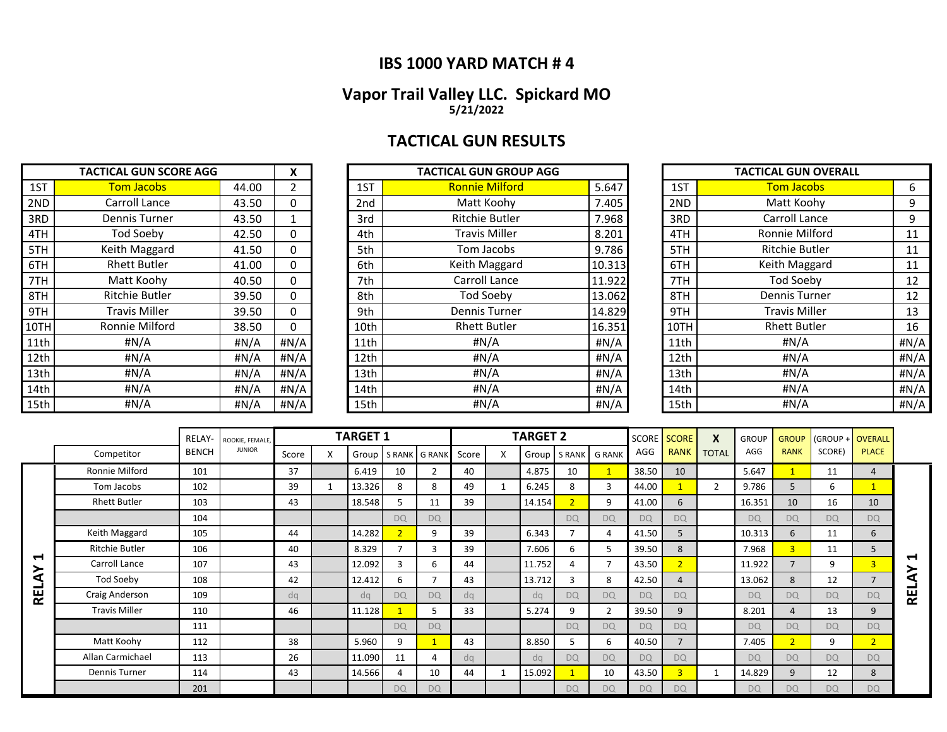### **IBS 1000 YARD MATCH # 4**

### **Vapor Trail Valley LLC. Spickard MO 5/21/2022**

# **TACTICAL GUN RESULTS**

|      | <b>TACTICAL GUN SCORE AGG</b> |       | X        |                 | <b>TACTICAL GUN GROUP AGG</b> |        |      | <b>TACTICAL GUN OVERALL</b> |       |
|------|-------------------------------|-------|----------|-----------------|-------------------------------|--------|------|-----------------------------|-------|
| 1ST  | <b>Tom Jacobs</b>             | 44.00 |          | 1ST             | <b>Ronnie Milford</b>         | 5.647  | 1ST  | <b>Tom Jacobs</b>           | 6     |
| 2ND  | Carroll Lance                 | 43.50 | 0        | 2 <sub>nd</sub> | Matt Koohv                    | 7.405  | 2ND  | Matt Koohy                  | 9     |
| 3RD  | Dennis Turner                 | 43.50 |          | 3rd             | <b>Ritchie Butler</b>         | 7.968  | 3RD  | Carroll Lance               | 9     |
| 4TH  | <b>Tod Soeby</b>              | 42.50 | 0        | 4th             | <b>Travis Miller</b>          | 8.201  | 4TH  | Ronnie Milford              | 11    |
| 5TH  | Keith Maggard                 | 41.50 | 0        | 5th             | Tom Jacobs                    | 9.786  | 5TH  | <b>Ritchie Butler</b>       | 11    |
| 6TH  | <b>Rhett Butler</b>           | 41.00 | 0        | 6th             | Keith Maggard                 | 10.313 | 6TH  | Keith Maggard               | 11    |
| 7TH  | Matt Koohy                    | 40.50 | 0        | 7th             | Carroll Lance                 | 11.922 | 7TH  | Tod Soeby                   | 12    |
| 8TH  | <b>Ritchie Butler</b>         | 39.50 | $\Omega$ | 8th             | <b>Tod Soeby</b>              | 13.062 | 8TH  | <b>Dennis Turner</b>        | 12    |
| 9TH  | <b>Travis Miller</b>          | 39.50 | 0        | 9th             | Dennis Turner                 | 14.829 | 9TH  | <b>Travis Miller</b>        | 13    |
| 10TH | Ronnie Milford                | 38.50 | 0        | 10th            | <b>Rhett Butler</b>           | 16.351 | 10TH | <b>Rhett Butler</b>         | 16    |
| 11th | #N/A                          | #N/A  | # $N/A$  | 11th            | #N/A                          | #N/A   | 11th | #N/A                        | H N/A |
| 12th | #N/A                          | #N/A  | # $N/A$  | 12th            | # $N/A$                       | H N/A  | 12th | #N/A                        | #N/A  |
| 13th | #N/A                          | #N/A  | #N/A     | 13th            | #N/A                          | #N/A   | 13th | #N/A                        | #N/A  |
| 14th | #N/A                          | #N/A  | # $N/A$  | 14th            | #N/A                          | #N/A   | 14th | H N/A                       | #N/A  |
| 15th | #N/A                          | #N/A  | #N/A     | 15th            | #N/A                          | H N/A  | 15th | # $N/A$                     | #N/A  |

| <b>TACTICAL GUN SCORE AGG</b> |                       |       |              |      | <b>TACTICAL GUN GROUP AGG</b> |        |      | <b>TACTICAL GUN OVERALL</b> |      |
|-------------------------------|-----------------------|-------|--------------|------|-------------------------------|--------|------|-----------------------------|------|
| 1ST                           | <b>Tom Jacobs</b>     | 44.00 | $\mathbf{2}$ | 1ST  | <b>Ronnie Milford</b>         | 5.647  | 1ST  | <b>Tom Jacobs</b>           | 6    |
| 2ND                           | Carroll Lance         | 43.50 | 0            | 2nd  | Matt Koohy                    | 7.405  | 2ND  | Matt Koohy                  | 9    |
| 3RD                           | Dennis Turner         | 43.50 |              | 3rd  | <b>Ritchie Butler</b>         | 7.968  | 3RD  | Carroll Lance               | 9    |
| 4TH                           | Tod Soeby             | 42.50 | 0            | 4th  | <b>Travis Miller</b>          | 8.201  | 4TH  | Ronnie Milford              | 11   |
| 5TH                           | Keith Maggard         | 41.50 | 0            | 5th  | Tom Jacobs                    | 9.786  | 5TH  | Ritchie Butler              | 11   |
| 6TH                           | <b>Rhett Butler</b>   | 41.00 | 0            | 6th  | Keith Maggard                 | 10.313 | 6TH  | Keith Maggard               | 11   |
| 7TH                           | Matt Koohy            | 40.50 | 0            | 7th  | Carroll Lance                 | 11.922 | 7TH  | Tod Soeby                   | 12   |
| 8TH                           | <b>Ritchie Butler</b> | 39.50 | 0            | 8th  | Tod Soeby                     | 13.062 | 8TH  | <b>Dennis Turner</b>        | 12   |
| 9TH                           | Travis Miller         | 39.50 | 0            | 9th  | <b>Dennis Turner</b>          | 14.829 | 9TH  | <b>Travis Miller</b>        | 13   |
| 10TH                          | Ronnie Milford        | 38.50 | 0            | 10th | <b>Rhett Butler</b>           | 16.351 | 10TH | <b>Rhett Butler</b>         | 16   |
| 11th                          | #N/A                  | #N/A  | #N/A         | 11th | $\sharp N/A$                  | #N/A   | 11th | #N/A                        | #N/A |
| 12th                          | #N/A                  | #N/A  | #N/A         | 12th | #N/A                          | #N/A   | 12th | #N/A                        | #N/A |
| 13th                          | #N/A                  | #N/A  | #N/A         | 13th | #N/A                          | #N/A   | 13th | #N/A                        | #N/A |
| 14th                          | #N/A                  | #N/A  | #N/A         | 14th | #N/A                          | #N/A   | 14th | #N/A                        | #N/A |
| 15th                          | #N/A                  | #N/A  | #N/A         | 15th | #N/A                          | #N/A   | 15th | #N/A                        | #N/A |

|      | <b>TACTICAL GUN OVERALL</b> |      |
|------|-----------------------------|------|
| 1ST  | <b>Tom Jacobs</b>           | 6    |
| 2ND  | Matt Koohy                  | 9    |
| 3RD  | Carroll Lance               | 9    |
| 4TH  | Ronnie Milford              | 11   |
| 5TH  | <b>Ritchie Butler</b>       | 11   |
| 6TH  | Keith Maggard               | 11   |
| 7TH  | <b>Tod Soeby</b>            | 12   |
| 8TH  | <b>Dennis Turner</b>        | 12   |
| 9TH  | <b>Travis Miller</b>        | 13   |
| 10TH | <b>Rhett Butler</b>         | 16   |
| 11th | #N/A                        | #N/A |
| 12th | #N/A                        | #N/A |
| 13th | #N/A                        | #N/A |
| 14th | #N/A                        | #N/A |
| 15th | #N/A                        | #N/A |

|   |                       | RELAY-       | ROOKIE, FEMALE. |       |   | <b>TARGET 1</b> |                |                          |       |   | <b>TARGET 2</b> |                |               |           | SCORE SCORE    | X              | <b>GROUP</b> | <b>GROUP</b>   | (GROUP + OVERALL |                |                            |
|---|-----------------------|--------------|-----------------|-------|---|-----------------|----------------|--------------------------|-------|---|-----------------|----------------|---------------|-----------|----------------|----------------|--------------|----------------|------------------|----------------|----------------------------|
|   | Competitor            | <b>BENCH</b> | <b>JUNIOR</b>   | Score | X | Group           |                | S RANK G RANK            | Score | X | Group           |                | S RANK G RANK | AGG       | <b>RANK</b>    | <b>TOTAL</b>   | AGG          | <b>RANK</b>    | SCORE)           | <b>PLACE</b>   |                            |
|   | Ronnie Milford        | 101          |                 | 37    |   | 6.419           | 10             | $\overline{2}$           | 40    |   | 4.875           | 10             |               | 38.50     | 10             |                | 5.647        |                | 11               | 4              |                            |
|   | Tom Jacobs            | 102          |                 | 39    |   | 13.326          | 8              | 8                        | 49    |   | 6.245           | 8              | 3             | 44.00     |                | $\overline{2}$ | 9.786        | 5              | 6                |                |                            |
|   | <b>Rhett Butler</b>   | 103          |                 | 43    |   | 18.548          | 5              | 11                       | 39    |   | 14.154          | $\overline{2}$ | 9             | 41.00     | 6              |                | 16.351       | 10             | 16               | 10             |                            |
|   |                       | 104          |                 |       |   |                 | <b>DQ</b>      | <b>DQ</b>                |       |   |                 | <b>DQ</b>      | <b>DQ</b>     | <b>DQ</b> | <b>DQ</b>      |                | <b>DQ</b>    | <b>DQ</b>      | <b>DQ</b>        | <b>DQ</b>      |                            |
|   | Keith Maggard         | 105          |                 | 44    |   | 14.282          | $\overline{2}$ | 9                        | 39    |   | 6.343           |                | 4             | 41.50     | 5              |                | 10.313       | 6              | 11               | 6              |                            |
|   | <b>Ritchie Butler</b> | 106          |                 | 40    |   | 8.329           |                | 3                        | 39    |   | 7.606           | 6              | 5             | 39.50     | 8              |                | 7.968        | 3 <sup>1</sup> | 11               | 5              |                            |
| ↤ | Carroll Lance         | 107          |                 | 43    |   | 12.092          | 3              | 6                        | 44    |   | 11.752          | 4              |               | 43.50     | $\overline{2}$ |                | 11.922       | $\overline{7}$ | 9                | 3              | $\blacktriangleright$<br>≻ |
| ⋖ | Tod Soeby             | 108          |                 | 42    |   | 12.412          | 6              | $\overline{\phantom{a}}$ | 43    |   | 13.712          | 3              | 8             | 42.50     | $\overline{4}$ |                | 13.062       | 8              | 12               | $\overline{7}$ | ๔                          |
| 분 | Craig Anderson        | 109          |                 | da    |   | da              | <b>DQ</b>      | <b>DQ</b>                | dq    |   | da              | <b>DO</b>      | <b>DQ</b>     | <b>DQ</b> | <b>DQ</b>      |                | <b>DQ</b>    | <b>DO</b>      | <b>DQ</b>        | <b>DQ</b>      | <b>REL</b>                 |
|   | <b>Travis Miller</b>  | 110          |                 | 46    |   | 11.128          |                | 5                        | 33    |   | 5.274           | 9              | 2             | 39.50     | 9              |                | 8.201        | 4              | 13               | 9              |                            |
|   |                       | 111          |                 |       |   |                 | <b>DQ</b>      | <b>DQ</b>                |       |   |                 | <b>DQ</b>      | <b>DQ</b>     | DO        | <b>DQ</b>      |                | <b>DQ</b>    | <b>DQ</b>      | <b>DQ</b>        | <b>DQ</b>      |                            |
|   | Matt Koohy            | 112          |                 | 38    |   | 5.960           | 9              |                          | 43    |   | 8.850           | 5              | 6             | 40.50     |                |                | 7.405        | 2 <sup>1</sup> | 9                | $\overline{2}$ |                            |
|   | Allan Carmichael      | 113          |                 | 26    |   | 11.090          | 11             | Δ                        | da    |   | da              | <b>DO</b>      | <b>DQ</b>     | <b>DQ</b> | <b>DQ</b>      |                | DQ           | <b>DO</b>      | <b>DQ</b>        | <b>DQ</b>      |                            |
|   | Dennis Turner         | 114          |                 | 43    |   | 14.566          | 4              | 10                       | 44    |   | 15.092          |                | 10            | 43.50     | 3              |                | 14.829       | 9              | 12               | 8              |                            |
|   |                       | 201          |                 |       |   |                 | <b>DQ</b>      | <b>DQ</b>                |       |   |                 | <b>DQ</b>      | <b>DQ</b>     | <b>DQ</b> | <b>DQ</b>      |                | <b>DQ</b>    | <b>DQ</b>      | <b>DQ</b>        | <b>DQ</b>      |                            |